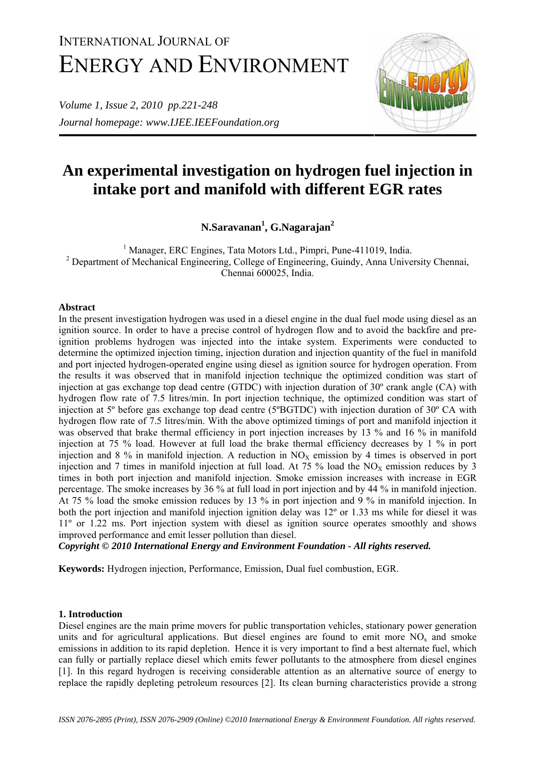# INTERNATIONAL JOURNAL OF ENERGY AND ENVIRONMENT

*Volume 1, Issue 2, 2010 pp.221-248 Journal homepage: www.IJEE.IEEFoundation.org* 



# **An experimental investigation on hydrogen fuel injection in intake port and manifold with different EGR rates**

**N.Saravanan1 , G.Nagarajan2**

<sup>1</sup> Manager, ERC Engines, Tata Motors Ltd., Pimpri, Pune-411019, India. <sup>2</sup> Department of Mechanical Engineering, College of Engineering, Guindy, Anna University Chennai, Chennai 600025, India.

# **Abstract**

In the present investigation hydrogen was used in a diesel engine in the dual fuel mode using diesel as an ignition source. In order to have a precise control of hydrogen flow and to avoid the backfire and preignition problems hydrogen was injected into the intake system. Experiments were conducted to determine the optimized injection timing, injection duration and injection quantity of the fuel in manifold and port injected hydrogen-operated engine using diesel as ignition source for hydrogen operation. From the results it was observed that in manifold injection technique the optimized condition was start of injection at gas exchange top dead centre (GTDC) with injection duration of 30º crank angle (CA) with hydrogen flow rate of 7.5 litres/min. In port injection technique, the optimized condition was start of injection at 5º before gas exchange top dead centre (5ºBGTDC) with injection duration of 30º CA with hydrogen flow rate of 7.5 litres/min. With the above optimized timings of port and manifold injection it was observed that brake thermal efficiency in port injection increases by 13 % and 16 % in manifold injection at 75 % load. However at full load the brake thermal efficiency decreases by 1 % in port injection and 8 % in manifold injection. A reduction in  $NO<sub>X</sub>$  emission by 4 times is observed in port injection and 7 times in manifold injection at full load. At 75 % load the  $NO<sub>X</sub>$  emission reduces by 3 times in both port injection and manifold injection. Smoke emission increases with increase in EGR percentage. The smoke increases by 36 % at full load in port injection and by 44 % in manifold injection. At 75 % load the smoke emission reduces by 13 % in port injection and 9 % in manifold injection. In both the port injection and manifold injection ignition delay was 12º or 1.33 ms while for diesel it was 11º or 1.22 ms. Port injection system with diesel as ignition source operates smoothly and shows improved performance and emit lesser pollution than diesel.

*Copyright © 2010 International Energy and Environment Foundation - All rights reserved.*

**Keywords:** Hydrogen injection, Performance, Emission, Dual fuel combustion, EGR.

# **1. Introduction**

Diesel engines are the main prime movers for public transportation vehicles, stationary power generation units and for agricultural applications. But diesel engines are found to emit more  $NO<sub>x</sub>$  and smoke emissions in addition to its rapid depletion. Hence it is very important to find a best alternate fuel, which can fully or partially replace diesel which emits fewer pollutants to the atmosphere from diesel engines [1]. In this regard hydrogen is receiving considerable attention as an alternative source of energy to replace the rapidly depleting petroleum resources [2]. Its clean burning characteristics provide a strong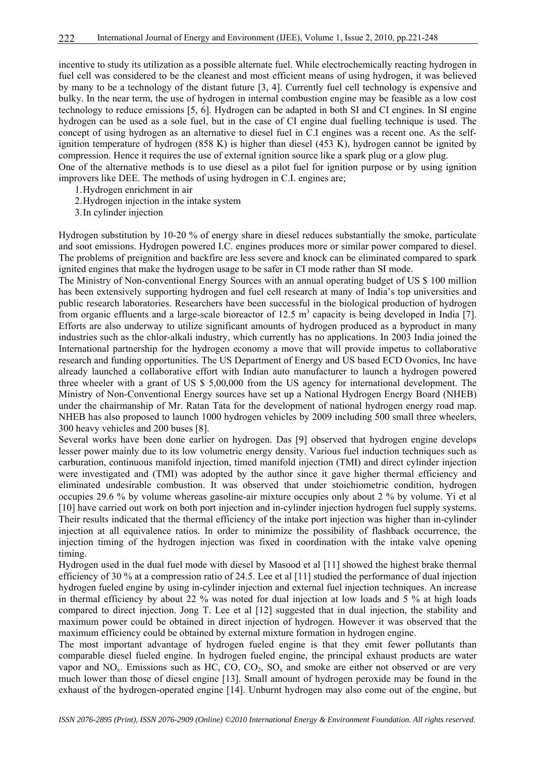incentive to study its utilization as a possible alternate fuel. While electrochemically reacting hydrogen in fuel cell was considered to be the cleanest and most efficient means of using hydrogen, it was believed by many to be a technology of the distant future [3, 4]. Currently fuel cell technology is expensive and bulky. In the near term, the use of hydrogen in internal combustion engine may be feasible as a low cost technology to reduce emissions [5, 6]. Hydrogen can be adapted in both SI and CI engines. In SI engine hydrogen can be used as a sole fuel, but in the case of CI engine dual fuelling technique is used. The concept of using hydrogen as an alternative to diesel fuel in C.I engines was a recent one. As the selfignition temperature of hydrogen (858 K) is higher than diesel (453 K), hydrogen cannot be ignited by compression. Hence it requires the use of external ignition source like a spark plug or a glow plug. One of the alternative methods is to use diesel as a pilot fuel for ignition purpose or by using ignition

improvers like DEE. The methods of using hydrogen in C.I. engines are;

- 1.Hydrogen enrichment in air
- 2.Hydrogen injection in the intake system
- 3.In cylinder injection

Hydrogen substitution by 10-20 % of energy share in diesel reduces substantially the smoke, particulate and soot emissions. Hydrogen powered I.C. engines produces more or similar power compared to diesel. The problems of preignition and backfire are less severe and knock can be eliminated compared to spark ignited engines that make the hydrogen usage to be safer in CI mode rather than SI mode.

The Ministry of Non-conventional Energy Sources with an annual operating budget of US \$ 100 million has been extensively supporting hydrogen and fuel cell research at many of India's top universities and public research laboratories. Researchers have been successful in the biological production of hydrogen from organic effluents and a large-scale bioreactor of 12.5  $m^3$  capacity is being developed in India [7]. Efforts are also underway to utilize significant amounts of hydrogen produced as a byproduct in many industries such as the chlor-alkali industry, which currently has no applications. In 2003 India joined the International partnership for the hydrogen economy a move that will provide impetus to collaborative research and funding opportunities. The US Department of Energy and US based ECD Ovonics, Inc have already launched a collaborative effort with Indian auto manufacturer to launch a hydrogen powered three wheeler with a grant of US \$ 5,00,000 from the US agency for international development. The Ministry of Non-Conventional Energy sources have set up a National Hydrogen Energy Board (NHEB) under the chairmanship of Mr. Ratan Tata for the development of national hydrogen energy road map. NHEB has also proposed to launch 1000 hydrogen vehicles by 2009 including 500 small three wheelers, 300 heavy vehicles and 200 buses [8].

Several works have been done earlier on hydrogen. Das [9] observed that hydrogen engine develops lesser power mainly due to its low volumetric energy density. Various fuel induction techniques such as carburation, continuous manifold injection, timed manifold injection (TMI) and direct cylinder injection were investigated and (TMI) was adopted by the author since it gave higher thermal efficiency and eliminated undesirable combustion. It was observed that under stoichiometric condition, hydrogen occupies 29.6 % by volume whereas gasoline-air mixture occupies only about 2 % by volume. Yi et al [10] have carried out work on both port injection and in-cylinder injection hydrogen fuel supply systems. Their results indicated that the thermal efficiency of the intake port injection was higher than in-cylinder injection at all equivalence ratios. In order to minimize the possibility of flashback occurrence, the injection timing of the hydrogen injection was fixed in coordination with the intake valve opening timing.

Hydrogen used in the dual fuel mode with diesel by Masood et al [11] showed the highest brake thermal efficiency of 30 % at a compression ratio of 24.5. Lee et al [11] studied the performance of dual injection hydrogen fueled engine by using in-cylinder injection and external fuel injection techniques. An increase in thermal efficiency by about 22 % was noted for dual injection at low loads and 5 % at high loads compared to direct injection. Jong T. Lee et al [12] suggested that in dual injection, the stability and maximum power could be obtained in direct injection of hydrogen. However it was observed that the maximum efficiency could be obtained by external mixture formation in hydrogen engine.

The most important advantage of hydrogen fueled engine is that they emit fewer pollutants than comparable diesel fueled engine. In hydrogen fueled engine, the principal exhaust products are water vapor and  $NO_x$ . Emissions such as HC,  $CO$ ,  $CO_2$ ,  $SO_x$  and smoke are either not observed or are very much lower than those of diesel engine [13]. Small amount of hydrogen peroxide may be found in the exhaust of the hydrogen-operated engine [14]. Unburnt hydrogen may also come out of the engine, but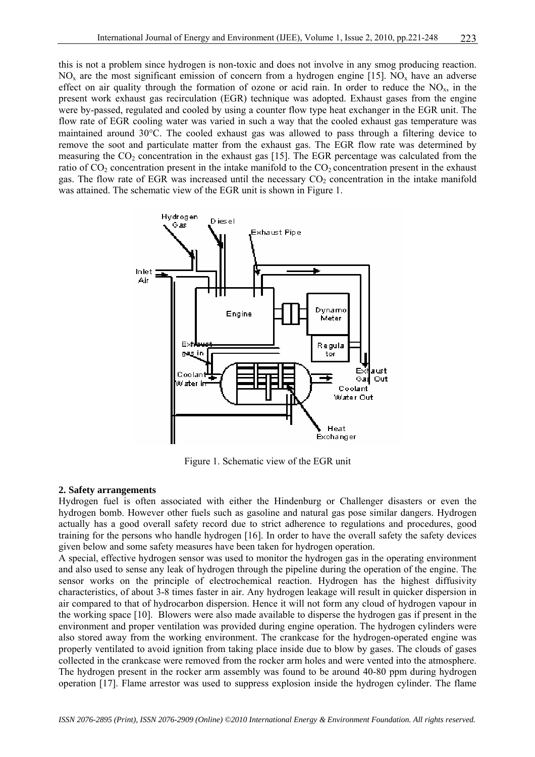this is not a problem since hydrogen is non-toxic and does not involve in any smog producing reaction.  $NO<sub>x</sub>$  are the most significant emission of concern from a hydrogen engine [15]. NO<sub>x</sub> have an adverse effect on air quality through the formation of ozone or acid rain. In order to reduce the  $NO<sub>x</sub>$ , in the present work exhaust gas recirculation (EGR) technique was adopted. Exhaust gases from the engine were by-passed, regulated and cooled by using a counter flow type heat exchanger in the EGR unit. The flow rate of EGR cooling water was varied in such a way that the cooled exhaust gas temperature was maintained around 30°C. The cooled exhaust gas was allowed to pass through a filtering device to remove the soot and particulate matter from the exhaust gas. The EGR flow rate was determined by measuring the  $CO<sub>2</sub>$  concentration in the exhaust gas [15]. The EGR percentage was calculated from the ratio of  $CO<sub>2</sub>$  concentration present in the intake manifold to the  $CO<sub>2</sub>$  concentration present in the exhaust gas. The flow rate of EGR was increased until the necessary  $CO<sub>2</sub>$  concentration in the intake manifold was attained. The schematic view of the EGR unit is shown in Figure 1.



Figure 1. Schematic view of the EGR unit

# **2. Safety arrangements**

Hydrogen fuel is often associated with either the Hindenburg or Challenger disasters or even the hydrogen bomb. However other fuels such as gasoline and natural gas pose similar dangers. Hydrogen actually has a good overall safety record due to strict adherence to regulations and procedures, good training for the persons who handle hydrogen [16]. In order to have the overall safety the safety devices given below and some safety measures have been taken for hydrogen operation.

A special, effective hydrogen sensor was used to monitor the hydrogen gas in the operating environment and also used to sense any leak of hydrogen through the pipeline during the operation of the engine. The sensor works on the principle of electrochemical reaction. Hydrogen has the highest diffusivity characteristics, of about 3-8 times faster in air. Any hydrogen leakage will result in quicker dispersion in air compared to that of hydrocarbon dispersion. Hence it will not form any cloud of hydrogen vapour in the working space [10]. Blowers were also made available to disperse the hydrogen gas if present in the environment and proper ventilation was provided during engine operation. The hydrogen cylinders were also stored away from the working environment. The crankcase for the hydrogen-operated engine was properly ventilated to avoid ignition from taking place inside due to blow by gases. The clouds of gases collected in the crankcase were removed from the rocker arm holes and were vented into the atmosphere. The hydrogen present in the rocker arm assembly was found to be around 40-80 ppm during hydrogen operation [17]. Flame arrestor was used to suppress explosion inside the hydrogen cylinder. The flame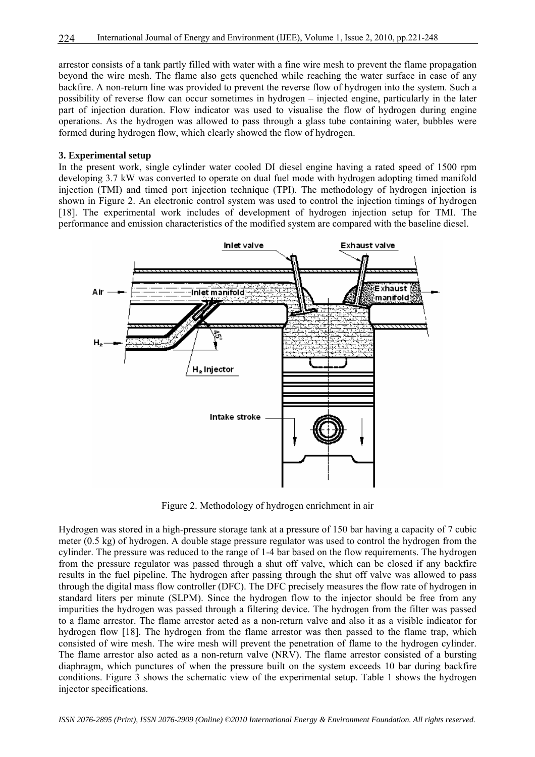arrestor consists of a tank partly filled with water with a fine wire mesh to prevent the flame propagation beyond the wire mesh. The flame also gets quenched while reaching the water surface in case of any backfire. A non-return line was provided to prevent the reverse flow of hydrogen into the system. Such a possibility of reverse flow can occur sometimes in hydrogen – injected engine, particularly in the later part of injection duration. Flow indicator was used to visualise the flow of hydrogen during engine operations. As the hydrogen was allowed to pass through a glass tube containing water, bubbles were formed during hydrogen flow, which clearly showed the flow of hydrogen.

#### **3. Experimental setup**

In the present work, single cylinder water cooled DI diesel engine having a rated speed of 1500 rpm developing 3.7 kW was converted to operate on dual fuel mode with hydrogen adopting timed manifold injection (TMI) and timed port injection technique (TPI). The methodology of hydrogen injection is shown in Figure 2. An electronic control system was used to control the injection timings of hydrogen [18]. The experimental work includes of development of hydrogen injection setup for TMI. The performance and emission characteristics of the modified system are compared with the baseline diesel.



Figure 2. Methodology of hydrogen enrichment in air

Hydrogen was stored in a high-pressure storage tank at a pressure of 150 bar having a capacity of 7 cubic meter (0.5 kg) of hydrogen. A double stage pressure regulator was used to control the hydrogen from the cylinder. The pressure was reduced to the range of 1-4 bar based on the flow requirements. The hydrogen from the pressure regulator was passed through a shut off valve, which can be closed if any backfire results in the fuel pipeline. The hydrogen after passing through the shut off valve was allowed to pass through the digital mass flow controller (DFC). The DFC precisely measures the flow rate of hydrogen in standard liters per minute (SLPM). Since the hydrogen flow to the injector should be free from any impurities the hydrogen was passed through a filtering device. The hydrogen from the filter was passed to a flame arrestor. The flame arrestor acted as a non-return valve and also it as a visible indicator for hydrogen flow [18]. The hydrogen from the flame arrestor was then passed to the flame trap, which consisted of wire mesh. The wire mesh will prevent the penetration of flame to the hydrogen cylinder. The flame arrestor also acted as a non-return valve (NRV). The flame arrestor consisted of a bursting diaphragm, which punctures of when the pressure built on the system exceeds 10 bar during backfire conditions. Figure 3 shows the schematic view of the experimental setup. Table 1 shows the hydrogen injector specifications.

*ISSN 2076-2895 (Print), ISSN 2076-2909 (Online) ©2010 International Energy & Environment Foundation. All rights reserved.*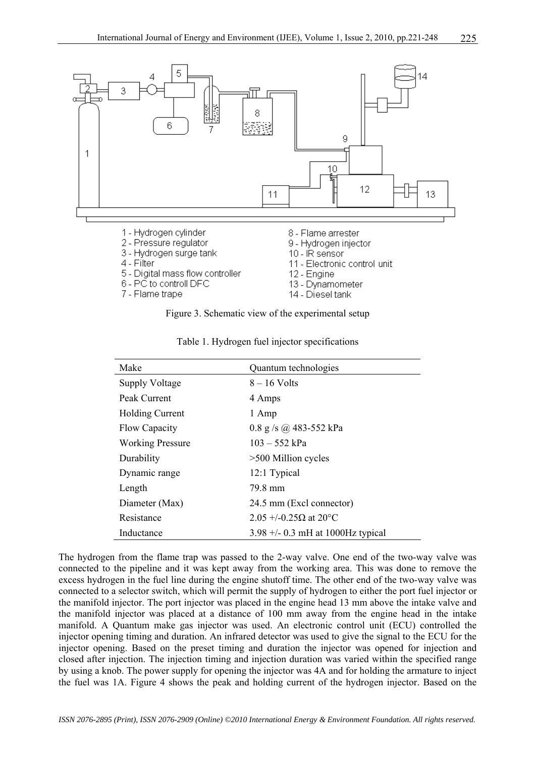

Figure 3. Schematic view of the experimental setup

| Make                    | Quantum technologies                |
|-------------------------|-------------------------------------|
| <b>Supply Voltage</b>   | $8 - 16$ Volts                      |
| Peak Current            | 4 Amps                              |
| <b>Holding Current</b>  | 1 Amp                               |
| Flow Capacity           | 0.8 g/s $\omega$ 483-552 kPa        |
| <b>Working Pressure</b> | $103 - 552$ kPa                     |
| Durability              | $>500$ Million cycles               |
| Dynamic range           | 12:1 Typical                        |
| Length                  | 79.8 mm                             |
| Diameter (Max)          | 24.5 mm (Excl connector)            |
| Resistance              | 2.05 +/-0.25Ω at 20 $^{\circ}$ C    |
| Inductance              | 3.98 $+/-$ 0.3 mH at 1000Hz typical |

Table 1. Hydrogen fuel injector specifications

The hydrogen from the flame trap was passed to the 2-way valve. One end of the two-way valve was connected to the pipeline and it was kept away from the working area. This was done to remove the excess hydrogen in the fuel line during the engine shutoff time. The other end of the two-way valve was connected to a selector switch, which will permit the supply of hydrogen to either the port fuel injector or the manifold injector. The port injector was placed in the engine head 13 mm above the intake valve and the manifold injector was placed at a distance of 100 mm away from the engine head in the intake manifold. A Quantum make gas injector was used. An electronic control unit (ECU) controlled the injector opening timing and duration. An infrared detector was used to give the signal to the ECU for the injector opening. Based on the preset timing and duration the injector was opened for injection and closed after injection. The injection timing and injection duration was varied within the specified range by using a knob. The power supply for opening the injector was 4A and for holding the armature to inject the fuel was 1A. Figure 4 shows the peak and holding current of the hydrogen injector. Based on the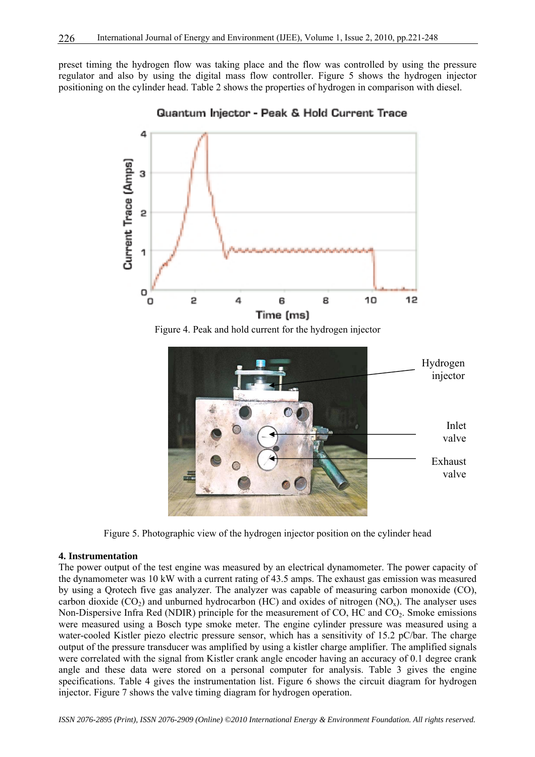preset timing the hydrogen flow was taking place and the flow was controlled by using the pressure regulator and also by using the digital mass flow controller. Figure 5 shows the hydrogen injector positioning on the cylinder head. Table 2 shows the properties of hydrogen in comparison with diesel.



Quantum Injector - Peak & Hold Current Trace

Figure 5. Photographic view of the hydrogen injector position on the cylinder head

# **4. Instrumentation**

The power output of the test engine was measured by an electrical dynamometer. The power capacity of the dynamometer was 10 kW with a current rating of 43.5 amps. The exhaust gas emission was measured by using a Qrotech five gas analyzer. The analyzer was capable of measuring carbon monoxide (CO), carbon dioxide  $(CO_2)$  and unburned hydrocarbon (HC) and oxides of nitrogen  $(NO_x)$ . The analyser uses Non-Dispersive Infra Red (NDIR) principle for the measurement of CO, HC and CO<sub>2</sub>. Smoke emissions were measured using a Bosch type smoke meter. The engine cylinder pressure was measured using a water-cooled Kistler piezo electric pressure sensor, which has a sensitivity of 15.2 pC/bar. The charge output of the pressure transducer was amplified by using a kistler charge amplifier. The amplified signals were correlated with the signal from Kistler crank angle encoder having an accuracy of 0.1 degree crank angle and these data were stored on a personal computer for analysis. Table 3 gives the engine specifications. Table 4 gives the instrumentation list. Figure 6 shows the circuit diagram for hydrogen injector. Figure 7 shows the valve timing diagram for hydrogen operation.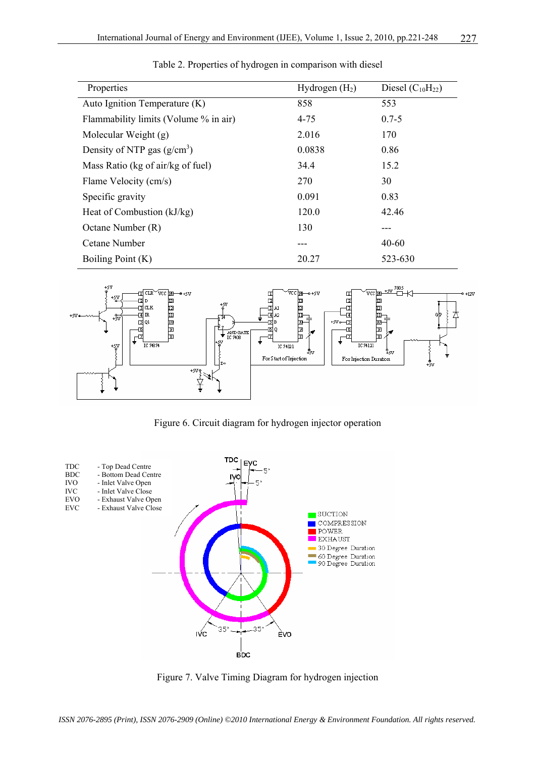| Properties                            | Hydrogen $(H2)$ | Diesel $(C_{10}H_{22})$ |
|---------------------------------------|-----------------|-------------------------|
| Auto Ignition Temperature (K)         | 858             | 553                     |
| Flammability limits (Volume % in air) | $4 - 75$        | $0.7 - 5$               |
| Molecular Weight (g)                  | 2.016           | 170                     |
| Density of NTP gas $(g/cm^3)$         | 0.0838          | 0.86                    |
| Mass Ratio (kg of air/kg of fuel)     | 34.4            | 15.2                    |
| Flame Velocity (cm/s)                 | 270             | 30                      |
| Specific gravity                      | 0.091           | 0.83                    |
| Heat of Combustion (kJ/kg)            | 120.0           | 42.46                   |
| Octane Number (R)                     | 130             |                         |
| Cetane Number                         | ---             | $40 - 60$               |
| Boiling Point (K)                     | 20.27           | 523-630                 |

Table 2. Properties of hydrogen in comparison with diesel



Figure 6. Circuit diagram for hydrogen injector operation



Figure 7. Valve Timing Diagram for hydrogen injection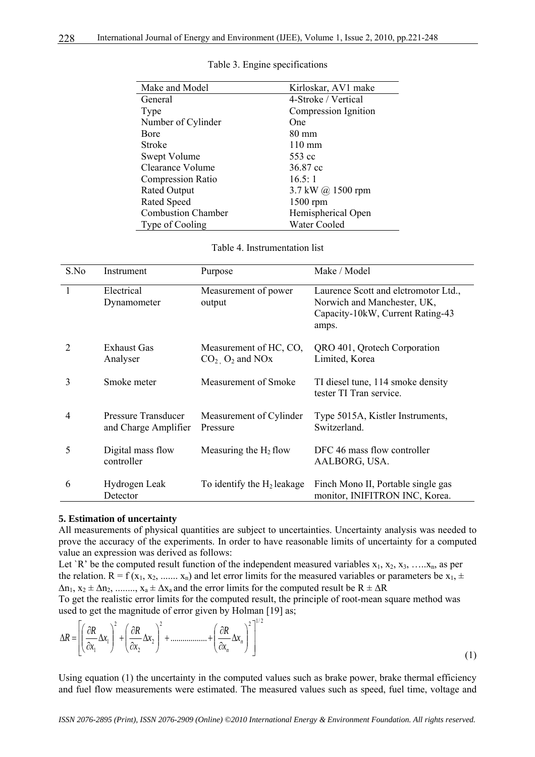| Make and Model            | Kirloskar, AV1 make      |
|---------------------------|--------------------------|
| General                   | 4-Stroke / Vertical      |
| Type                      | Compression Ignition     |
| Number of Cylinder        | One                      |
| <b>B</b> ore              | $80 \text{ mm}$          |
| <b>Stroke</b>             | $110 \text{ mm}$         |
| Swept Volume              | 553 cc                   |
| Clearance Volume          | 36.87 cc                 |
| <b>Compression Ratio</b>  | 16.5:1                   |
| <b>Rated Output</b>       | 3.7 kW $\omega$ 1500 rpm |
| <b>Rated Speed</b>        | 1500 rpm                 |
| <b>Combustion Chamber</b> | Hemispherical Open       |
| Type of Cooling           | <b>Water Cooled</b>      |

#### Table 3. Engine specifications

Table 4. Instrumentation list

| S.No | Instrument                                  | Purpose                                                    | Make / Model                                                                                                     |
|------|---------------------------------------------|------------------------------------------------------------|------------------------------------------------------------------------------------------------------------------|
|      | Electrical<br>Dynamometer                   | Measurement of power<br>output                             | Laurence Scott and eletromotor Ltd.,<br>Norwich and Manchester, UK,<br>Capacity-10kW, Current Rating-43<br>amps. |
| 2    | Exhaust Gas<br>Analyser                     | Measurement of HC, CO,<br>$CO2$ , $O2$ and NO <sub>x</sub> | QRO 401, Qrotech Corporation<br>Limited, Korea                                                                   |
| 3    | Smoke meter                                 | Measurement of Smoke                                       | TI diesel tune, 114 smoke density<br>tester TI Tran service.                                                     |
| 4    | Pressure Transducer<br>and Charge Amplifier | Measurement of Cylinder<br>Pressure                        | Type 5015A, Kistler Instruments,<br>Switzerland.                                                                 |
| 5    | Digital mass flow<br>controller             | Measuring the $H_2$ flow                                   | DFC 46 mass flow controller<br>AALBORG, USA.                                                                     |
| 6    | Hydrogen Leak<br>Detector                   | To identify the $H_2$ leakage                              | Finch Mono II, Portable single gas<br>monitor, INIFITRON INC, Korea.                                             |

#### **5. Estimation of uncertainty**

 $\overline{a}$ 

All measurements of physical quantities are subject to uncertainties. Uncertainty analysis was needed to prove the accuracy of the experiments. In order to have reasonable limits of uncertainty for a computed value an expression was derived as follows:

Let `R' be the computed result function of the independent measured variables  $x_1, x_2, x_3, \ldots, x_n$ , as per the relation.  $R = f(x_1, x_2, \dots, x_n)$  and let error limits for the measured variables or parameters be  $x_1, \pm$  $\Delta n_1$ ,  $x_2 \pm \Delta n_2$ , ........,  $x_a \pm \Delta x_a$  and the error limits for the computed result be  $R \pm \Delta R$ To get the realistic error limits for the computed result, the principle of root-mean square method was used to get the magnitude of error given by Holman [19] as;

$$
\Delta R = \left[ \left( \frac{\partial R}{\partial x_1} \Delta x_1 \right)^2 + \left( \frac{\partial R}{\partial x_2} \Delta x_2 \right)^2 + \dots + \left( \frac{\partial R}{\partial x_n} \Delta x_n \right)^2 \right]^{1/2}
$$
\n(1)

Using equation (1) the uncertainty in the computed values such as brake power, brake thermal efficiency and fuel flow measurements were estimated. The measured values such as speed, fuel time, voltage and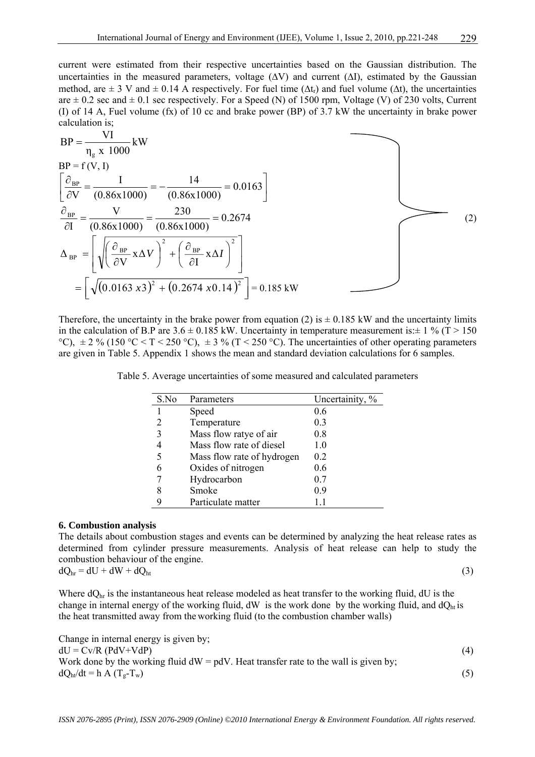current were estimated from their respective uncertainties based on the Gaussian distribution. The uncertainties in the measured parameters, voltage  $(\Delta V)$  and current  $(\Delta I)$ , estimated by the Gaussian method, are  $\pm$  3 V and  $\pm$  0.14 A respectively. For fuel time ( $\Delta t$ ) and fuel volume ( $\Delta t$ ), the uncertainties are  $\pm$  0.2 sec and  $\pm$  0.1 sec respectively. For a Speed (N) of 1500 rpm, Voltage (V) of 230 volts, Current (I) of 14 A, Fuel volume (fx) of 10 cc and brake power (BP) of 3.7 kW the uncertainty in brake power calculation is;

$$
BP = \frac{VI}{\eta_g \times 1000} \text{ kW}
$$
  
\n
$$
BP = f(V, I)
$$
  
\n
$$
\left[\frac{\partial_{BP}}{\partial V} = \frac{I}{(0.86 \times 1000)} = -\frac{14}{(0.86 \times 1000)} = 0.0163\right]
$$
  
\n
$$
\frac{\partial_{BP}}{\partial I} = \frac{V}{(0.86 \times 1000)} = \frac{230}{(0.86 \times 1000)} = 0.2674
$$
  
\n
$$
\Delta_{BP} = \left[\sqrt{\left(\frac{\partial_{BP}}{\partial V} \times \Delta V\right)^2 + \left(\frac{\partial_{BP}}{\partial I} \times \Delta I\right)^2}\right] = \left[\sqrt{(0.0163 \times 3)^2 + (0.2674 \times 0.14)^2}\right] = 0.185 \text{ kW}
$$
 (2)

Therefore, the uncertainty in the brake power from equation (2) is  $\pm$  0.185 kW and the uncertainty limits in the calculation of B.P are  $3.6 \pm 0.185$  kW. Uncertainty in temperature measurement is: $\pm 1\%$  (T > 150) °C),  $\pm 2\%$  (150 °C < T < 250 °C),  $\pm 3\%$  (T < 250 °C). The uncertainties of other operating parameters are given in Table 5. Appendix 1 shows the mean and standard deviation calculations for 6 samples.

Table 5. Average uncertainties of some measured and calculated parameters

| S.No | Parameters                 | Uncertainity, % |
|------|----------------------------|-----------------|
|      | Speed                      | 0.6             |
|      | Temperature                | 0.3             |
| 3    | Mass flow ratye of air     | 0.8             |
|      | Mass flow rate of diesel   | 10              |
| 5    | Mass flow rate of hydrogen | 0.2             |
| 6    | Oxides of nitrogen         | 0.6             |
|      | Hydrocarbon                | 0.7             |
| 8    | Smoke                      | 0.9             |
| g    | Particulate matter         | 1.1             |

# **6. Combustion analysis**

The details about combustion stages and events can be determined by analyzing the heat release rates as determined from cylinder pressure measurements. Analysis of heat release can help to study the combustion behaviour of the engine.

$$
dQ_{hr} = dU + dW + dQ_{ht} \tag{3}
$$

Where  $dQ<sub>hr</sub>$  is the instantaneous heat release modeled as heat transfer to the working fluid,  $dU$  is the change in internal energy of the working fluid, dW is the work done by the working fluid, and  $dQ<sub>ht</sub>$  is the heat transmitted away from the working fluid (to the combustion chamber walls)

Change in internal energy is given by;  $dU = Cv/R (PdV+VdP)$  (4) Work done by the working fluid  $dW = pdV$ . Heat transfer rate to the wall is given by;  $dQ_{h}/dt = h A (T_e - T_w)$  (5)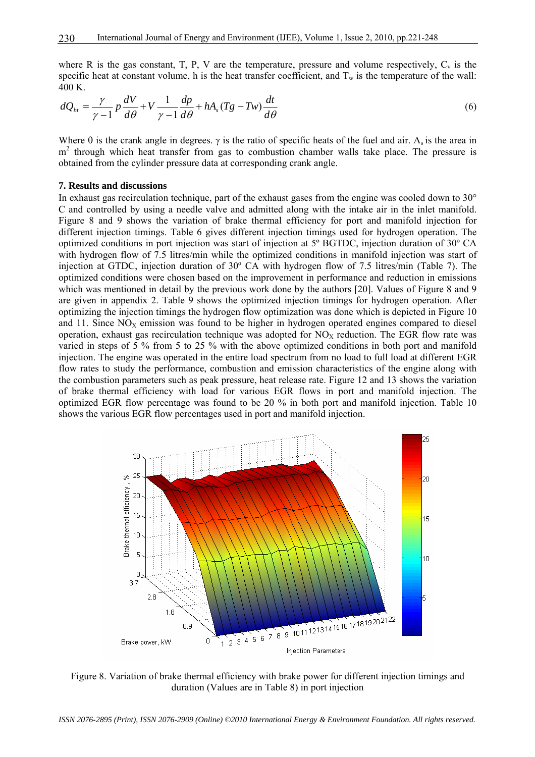where R is the gas constant, T, P, V are the temperature, pressure and volume respectively,  $C_v$  is the specific heat at constant volume, h is the heat transfer coefficient, and  $T_w$  is the temperature of the wall:  $400 K$ .

$$
dQ_{ht} = \frac{\gamma}{\gamma - 1} p \frac{dV}{d\theta} + V \frac{1}{\gamma - 1} \frac{dp}{d\theta} + hA_s (Tg - Tw) \frac{dt}{d\theta}
$$
(6)

Where  $\theta$  is the crank angle in degrees.  $\gamma$  is the ratio of specific heats of the fuel and air. A<sub>s</sub> is the area in m<sup>2</sup> through which heat transfer from gas to combustion chamber walls take place. The pressure is obtained from the cylinder pressure data at corresponding crank angle.

#### **7. Results and discussions**

In exhaust gas recirculation technique, part of the exhaust gases from the engine was cooled down to 30° C and controlled by using a needle valve and admitted along with the intake air in the inlet manifold. Figure 8 and 9 shows the variation of brake thermal efficiency for port and manifold injection for different injection timings. Table 6 gives different injection timings used for hydrogen operation. The optimized conditions in port injection was start of injection at 5º BGTDC, injection duration of 30º CA with hydrogen flow of 7.5 litres/min while the optimized conditions in manifold injection was start of injection at GTDC, injection duration of 30º CA with hydrogen flow of 7.5 litres/min (Table 7). The optimized conditions were chosen based on the improvement in performance and reduction in emissions which was mentioned in detail by the previous work done by the authors [20]. Values of Figure 8 and 9 are given in appendix 2. Table 9 shows the optimized injection timings for hydrogen operation. After optimizing the injection timings the hydrogen flow optimization was done which is depicted in Figure 10 and 11. Since  $NO<sub>X</sub>$  emission was found to be higher in hydrogen operated engines compared to diesel operation, exhaust gas recirculation technique was adopted for  $NO<sub>X</sub>$  reduction. The EGR flow rate was varied in steps of 5 % from 5 to 25 % with the above optimized conditions in both port and manifold injection. The engine was operated in the entire load spectrum from no load to full load at different EGR flow rates to study the performance, combustion and emission characteristics of the engine along with the combustion parameters such as peak pressure, heat release rate. Figure 12 and 13 shows the variation of brake thermal efficiency with load for various EGR flows in port and manifold injection. The optimized EGR flow percentage was found to be 20 % in both port and manifold injection. Table 10 shows the various EGR flow percentages used in port and manifold injection.



Figure 8. Variation of brake thermal efficiency with brake power for different injection timings and duration (Values are in Table 8) in port injection

*ISSN 2076-2895 (Print), ISSN 2076-2909 (Online) ©2010 International Energy & Environment Foundation. All rights reserved.*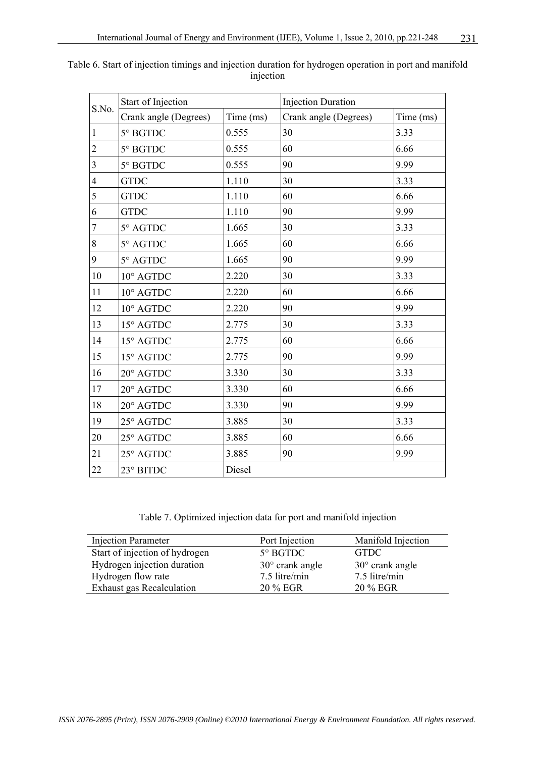|                | <b>Start of Injection</b> |           | <b>Injection Duration</b> |           |
|----------------|---------------------------|-----------|---------------------------|-----------|
| S.No.          | Crank angle (Degrees)     | Time (ms) | Crank angle (Degrees)     | Time (ms) |
| $\mathbf{1}$   | 5° BGTDC                  | 0.555     | 30                        | 3.33      |
| $\overline{c}$ | 5° BGTDC                  | 0.555     | 60                        | 6.66      |
| $\overline{3}$ | 5° BGTDC                  | 0.555     | 90                        | 9.99      |
| $\overline{4}$ | <b>GTDC</b>               | 1.110     | 30                        | 3.33      |
| 5              | <b>GTDC</b>               | 1.110     | 60                        | 6.66      |
| 6              | <b>GTDC</b>               | 1.110     | 90                        | 9.99      |
| $\overline{7}$ | 5° AGTDC                  | 1.665     | 30                        | 3.33      |
| 8              | 5° AGTDC                  | 1.665     | 60                        | 6.66      |
| 9              | 5° AGTDC                  | 1.665     | 90                        | 9.99      |
| 10             | 10° AGTDC                 | 2.220     | 30                        | 3.33      |
| 11             | 10° AGTDC                 | 2.220     | 60                        | 6.66      |
| 12             | 10° AGTDC                 | 2.220     | 90                        | 9.99      |
| 13             | 15° AGTDC                 | 2.775     | 30                        | 3.33      |
| 14             | 15° AGTDC                 | 2.775     | 60                        | 6.66      |
| 15             | 15° AGTDC                 | 2.775     | 90                        | 9.99      |
| 16             | 20° AGTDC                 | 3.330     | 30                        | 3.33      |
| 17             | 20° AGTDC                 | 3.330     | 60                        | 6.66      |
| 18             | 20° AGTDC                 | 3.330     | 90                        | 9.99      |
| 19             | 25° AGTDC                 | 3.885     | 30                        | 3.33      |
| 20             | 25° AGTDC                 | 3.885     | 60                        | 6.66      |
| 21             | 25° AGTDC                 | 3.885     | 90                        | 9.99      |
| 22             | 23° BITDC                 | Diesel    |                           |           |

|  | Table 6. Start of injection timings and injection duration for hydrogen operation in port and manifold |         |  |  |
|--|--------------------------------------------------------------------------------------------------------|---------|--|--|
|  |                                                                                                        | mection |  |  |

Table 7. Optimized injection data for port and manifold injection

| <b>Injection Parameter</b>       | Port Injection           | Manifold Injection       |
|----------------------------------|--------------------------|--------------------------|
| Start of injection of hydrogen   | $5^\circ$ BGTDC          | <b>GTDC</b>              |
| Hydrogen injection duration      | $30^{\circ}$ crank angle | $30^{\circ}$ crank angle |
| Hydrogen flow rate               | 7.5 litre/min            | 7.5 litre/min            |
| <b>Exhaust gas Recalculation</b> | 20 % EGR                 | 20 % EGR                 |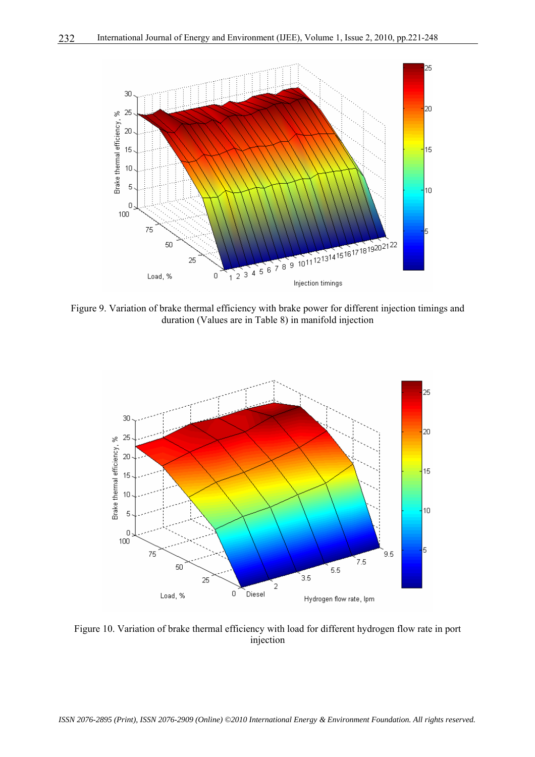

Figure 9. Variation of brake thermal efficiency with brake power for different injection timings and duration (Values are in Table 8) in manifold injection



Figure 10. Variation of brake thermal efficiency with load for different hydrogen flow rate in port injection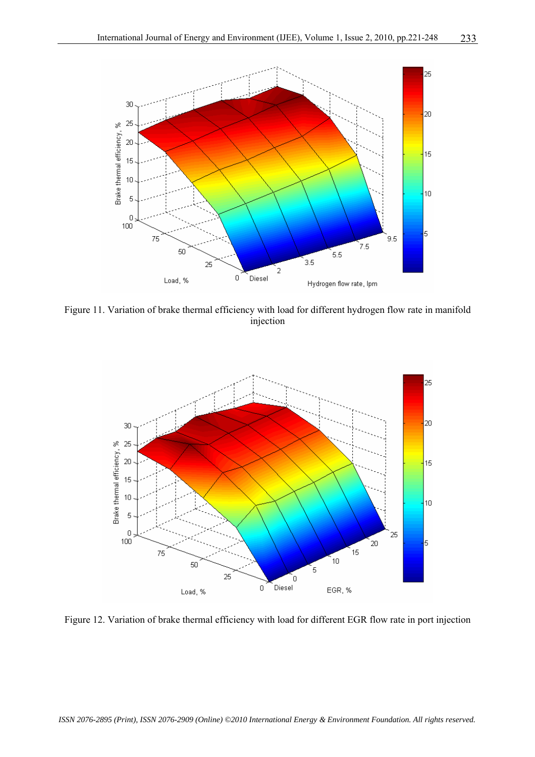

Figure 11. Variation of brake thermal efficiency with load for different hydrogen flow rate in manifold injection



Figure 12. Variation of brake thermal efficiency with load for different EGR flow rate in port injection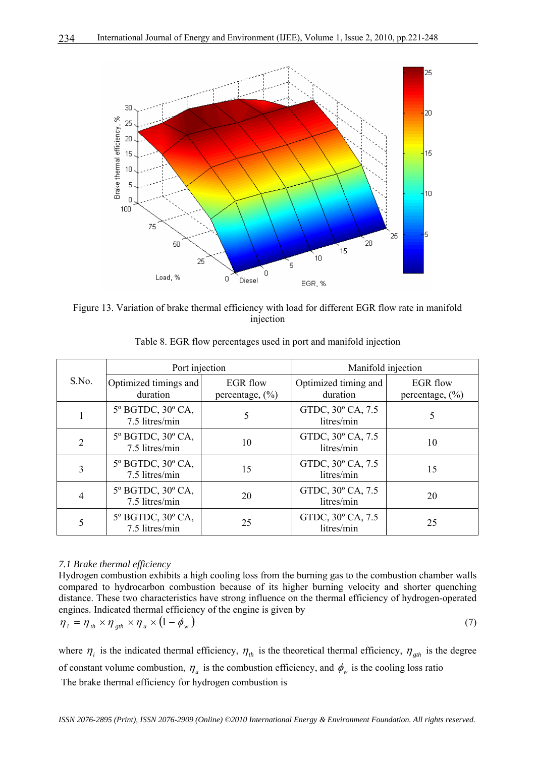

Figure 13. Variation of brake thermal efficiency with load for different EGR flow rate in manifold injection

|                | Port injection                            |                                        | Manifold injection               |                                        |  |  |
|----------------|-------------------------------------------|----------------------------------------|----------------------------------|----------------------------------------|--|--|
| S.No.          | Optimized timings and<br>duration         | <b>EGR</b> flow<br>percentage, $(\% )$ | Optimized timing and<br>duration | <b>EGR</b> flow<br>percentage, $(\% )$ |  |  |
|                | 5° BGTDC, 30° CA,<br>7.5 litres/min       | 5                                      | GTDC, 30° CA, 7.5<br>litres/min  | 5                                      |  |  |
| $\mathfrak{D}$ | 5° BGTDC, 30° CA,<br>7.5 litres/min       | 10                                     | GTDC, 30° CA, 7.5<br>litres/min  | 10                                     |  |  |
| 3              | 5° BGTDC, 30° CA,<br>15<br>7.5 litres/min |                                        | GTDC, 30° CA, 7.5<br>litres/min  | 15                                     |  |  |
| 4              | 5° BGTDC, 30° CA,<br>7.5 litres/min       | 20                                     | GTDC, 30° CA, 7.5<br>litres/min  | 20                                     |  |  |
|                | 5° BGTDC, 30° CA,<br>7.5 litres/min       | 25                                     | GTDC, 30° CA, 7.5<br>litres/min  | 25                                     |  |  |

Table 8. EGR flow percentages used in port and manifold injection

# *7.1 Brake thermal efficiency*

Hydrogen combustion exhibits a high cooling loss from the burning gas to the combustion chamber walls compared to hydrocarbon combustion because of its higher burning velocity and shorter quenching distance. These two characteristics have strong influence on the thermal efficiency of hydrogen-operated engines. Indicated thermal efficiency of the engine is given by

$$
\eta_i = \eta_{th} \times \eta_{gh} \times \eta_u \times (1 - \phi_w) \tag{7}
$$

where  $\eta_i$  is the indicated thermal efficiency,  $\eta_{th}$  is the theoretical thermal efficiency,  $\eta_{gh}$  is the degree of constant volume combustion,  $\eta_u$  is the combustion efficiency, and  $\phi_w$  is the cooling loss ratio The brake thermal efficiency for hydrogen combustion is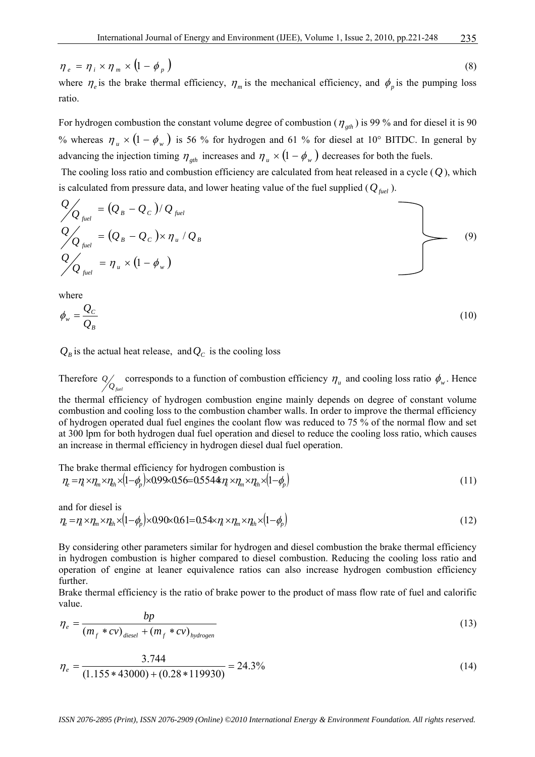$\eta_e = \eta_i \times \eta_m \times (1 - \phi_n)$  (8) where  $\eta_e$  is the brake thermal efficiency,  $\eta_m$  is the mechanical efficiency, and  $\phi_p$  is the pumping loss

For hydrogen combustion the constant volume degree of combustion ( $\eta_{\text{gth}}$ ) is 99 % and for diesel it is 90 % whereas  $\eta_u \times (1 - \phi_w)$  is 56 % for hydrogen and 61 % for diesel at 10° BITDC. In general by advancing the injection timing  $\eta_{gh}$  increases and  $\eta_u \times (1 - \phi_w)$  decreases for both the fuels.

 The cooling loss ratio and combustion efficiency are calculated from heat released in a cycle (*Q* ), which is calculated from pressure data, and lower heating value of the fuel supplied  $(Q_{\text{fuel}})$ .

$$
Q_{\underset{\text{full}}{\text{triangle}}} = (Q_B - Q_C) / Q_{\text{fuel}}
$$
\n
$$
Q_{\underset{\text{full}}{\text{triangle}}} = (Q_B - Q_C) \times \eta_u / Q_B
$$
\n
$$
Q_{\underset{\text{full}}{\text{triangle}}} = \eta_u \times (1 - \phi_w)
$$
\n(9)

where

ratio.

$$
\phi_w = \frac{Q_C}{Q_B} \tag{10}
$$

 $Q_B$  is the actual heat release, and  $Q_C$  is the cooling loss

Therefore *Q*/ corresponds to a function of combustion efficiency  $η<sub>u</sub>$  and cooling loss ratio  $φ<sub>w</sub>$ . Hence the thermal efficiency of hydrogen combustion engine mainly depends on degree of constant volume combustion and cooling loss to the combustion chamber walls. In order to improve the thermal efficiency of hydrogen operated dual fuel engines the coolant flow was reduced to 75 % of the normal flow and set at 300 lpm for both hydrogen dual fuel operation and diesel to reduce the cooling loss ratio, which causes an increase in thermal efficiency in hydrogen diesel dual fuel operation.

The brake thermal efficiency for hydrogen combustion is  
\n
$$
\eta_e = \eta_i \times \eta_m \times \eta_h \times (1 - \phi_p) \times 0.99 \times 0.56 = 0.5544 \eta_i \times \eta_m \times \eta_h \times (1 - \phi_p)
$$
\n(11)

and for diesel is  
\n
$$
\eta_e = \eta_i \times \eta_m \times \eta_h \times (1 - \phi_p) \times 0.90 \times 0.61 = 0.54 \times \eta_i \times \eta_m \times \eta_h \times (1 - \phi_p)
$$
\n(12)

By considering other parameters similar for hydrogen and diesel combustion the brake thermal efficiency in hydrogen combustion is higher compared to diesel combustion. Reducing the cooling loss ratio and operation of engine at leaner equivalence ratios can also increase hydrogen combustion efficiency further.

Brake thermal efficiency is the ratio of brake power to the product of mass flow rate of fuel and calorific value.

$$
\eta_e = \frac{bp}{(m_f * cv)_{\text{diesel}} + (m_f * cv)_{\text{hydrogen}}}
$$
(13)

$$
\eta_e = \frac{3.744}{(1.155 * 43000) + (0.28 * 119930)} = 24.3\% \tag{14}
$$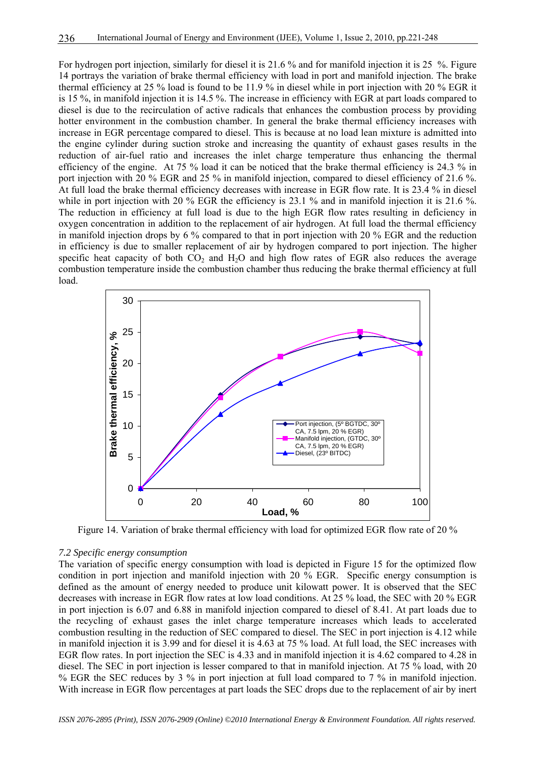For hydrogen port injection, similarly for diesel it is 21.6 % and for manifold injection it is 25 %. Figure 14 portrays the variation of brake thermal efficiency with load in port and manifold injection. The brake thermal efficiency at 25 % load is found to be 11.9 % in diesel while in port injection with 20 % EGR it is 15 %, in manifold injection it is 14.5 %. The increase in efficiency with EGR at part loads compared to diesel is due to the recirculation of active radicals that enhances the combustion process by providing hotter environment in the combustion chamber. In general the brake thermal efficiency increases with increase in EGR percentage compared to diesel. This is because at no load lean mixture is admitted into the engine cylinder during suction stroke and increasing the quantity of exhaust gases results in the reduction of air-fuel ratio and increases the inlet charge temperature thus enhancing the thermal efficiency of the engine. At 75 % load it can be noticed that the brake thermal efficiency is 24.3 % in port injection with 20 % EGR and 25 % in manifold injection, compared to diesel efficiency of 21.6 %. At full load the brake thermal efficiency decreases with increase in EGR flow rate. It is 23.4 % in diesel while in port injection with 20 % EGR the efficiency is 23.1 % and in manifold injection it is 21.6 %. The reduction in efficiency at full load is due to the high EGR flow rates resulting in deficiency in oxygen concentration in addition to the replacement of air hydrogen. At full load the thermal efficiency in manifold injection drops by 6 % compared to that in port injection with 20 % EGR and the reduction in efficiency is due to smaller replacement of air by hydrogen compared to port injection. The higher specific heat capacity of both  $CO<sub>2</sub>$  and  $H<sub>2</sub>O$  and high flow rates of EGR also reduces the average combustion temperature inside the combustion chamber thus reducing the brake thermal efficiency at full load.



Figure 14. Variation of brake thermal efficiency with load for optimized EGR flow rate of 20 %

#### *7.2 Specific energy consumption*

The variation of specific energy consumption with load is depicted in Figure 15 for the optimized flow condition in port injection and manifold injection with 20 % EGR. Specific energy consumption is defined as the amount of energy needed to produce unit kilowatt power. It is observed that the SEC decreases with increase in EGR flow rates at low load conditions. At 25 % load, the SEC with 20 % EGR in port injection is 6.07 and 6.88 in manifold injection compared to diesel of 8.41. At part loads due to the recycling of exhaust gases the inlet charge temperature increases which leads to accelerated combustion resulting in the reduction of SEC compared to diesel. The SEC in port injection is 4.12 while in manifold injection it is 3.99 and for diesel it is 4.63 at 75 % load. At full load, the SEC increases with EGR flow rates. In port injection the SEC is 4.33 and in manifold injection it is 4.62 compared to 4.28 in diesel. The SEC in port injection is lesser compared to that in manifold injection. At 75 % load, with 20 % EGR the SEC reduces by 3 % in port injection at full load compared to 7 % in manifold injection. With increase in EGR flow percentages at part loads the SEC drops due to the replacement of air by inert

*ISSN 2076-2895 (Print), ISSN 2076-2909 (Online) ©2010 International Energy & Environment Foundation. All rights reserved.*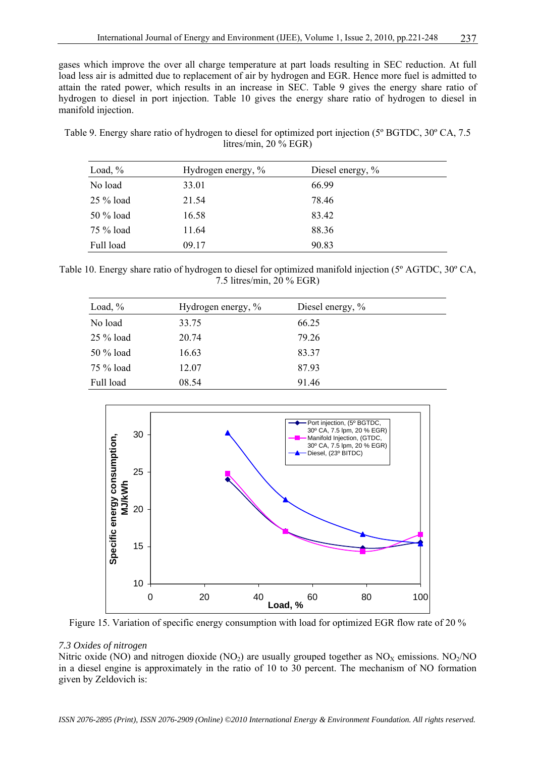gases which improve the over all charge temperature at part loads resulting in SEC reduction. At full load less air is admitted due to replacement of air by hydrogen and EGR. Hence more fuel is admitted to attain the rated power, which results in an increase in SEC. Table 9 gives the energy share ratio of hydrogen to diesel in port injection. Table 10 gives the energy share ratio of hydrogen to diesel in manifold injection.

Table 9. Energy share ratio of hydrogen to diesel for optimized port injection (5º BGTDC, 30º CA, 7.5 litres/min, 20 % EGR)

| Load, $\%$  | Hydrogen energy, % | Diesel energy, $\%$ |
|-------------|--------------------|---------------------|
| No load     | 33.01              | 66.99               |
| $25\%$ load | 21.54              | 78.46               |
| 50 % load   | 16.58              | 83.42               |
| 75 % load   | 11.64              | 88.36               |
| Full load   | 09.17              | 90.83               |

Table 10. Energy share ratio of hydrogen to diesel for optimized manifold injection (5º AGTDC, 30º CA, 7.5 litres/min, 20 % EGR)

| Load, $\%$  | Hydrogen energy, % | Diesel energy, % |
|-------------|--------------------|------------------|
| No load     | 33.75              | 66.25            |
| $25\%$ load | 20.74              | 79.26            |
| 50 % load   | 16.63              | 83.37            |
| 75 % load   | 12.07              | 87.93            |
| Full load   | 08.54              | 91.46            |



Figure 15. Variation of specific energy consumption with load for optimized EGR flow rate of 20 %

# *7.3 Oxides of nitrogen*

Nitric oxide (NO) and nitrogen dioxide (NO<sub>2</sub>) are usually grouped together as  $NO<sub>X</sub>$  emissions. NO<sub>2</sub>/NO in a diesel engine is approximately in the ratio of 10 to 30 percent. The mechanism of NO formation given by Zeldovich is: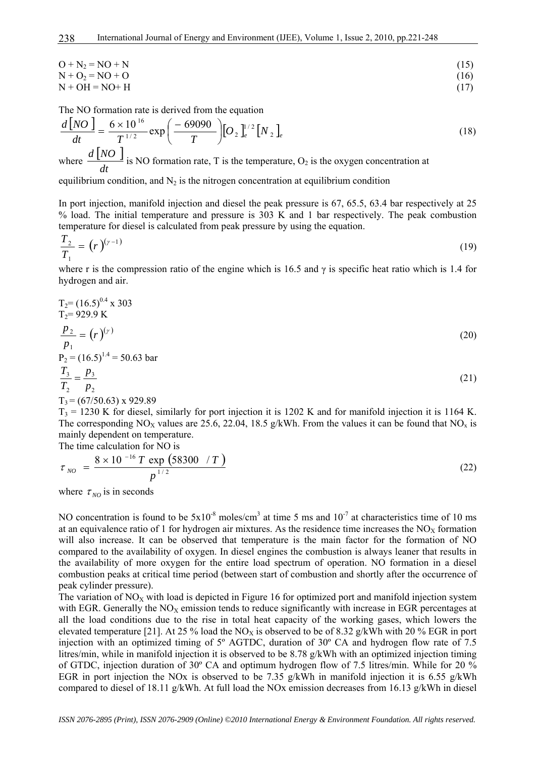$$
O + N_2 = NO + N \tag{15}
$$

$$
N + Q_2 = NO + O \tag{16}
$$

$$
N + OH = NO + H \tag{17}
$$

The NO formation rate is derived from the equation

$$
\frac{d[NO]}{dt} = \frac{6 \times 10^{16}}{T^{1/2}} \exp\left(\frac{-69090}{T}\right)[O_2]_e^{1/2}[N_2]_e \tag{18}
$$

where  $\frac{d [ NO ]}{d [ N Q ]}$ *dt*  $\frac{d [NO]}{I}$  is NO formation rate, T is the temperature, O<sub>2</sub> is the oxygen concentration at

equilibrium condition, and  $N_2$  is the nitrogen concentration at equilibrium condition

In port injection, manifold injection and diesel the peak pressure is 67, 65.5, 63.4 bar respectively at 25 % load. The initial temperature and pressure is 303 K and 1 bar respectively. The peak combustion temperature for diesel is calculated from peak pressure by using the equation.

$$
\frac{T_2}{T_1} = \left(r\right)^{(\gamma - 1)}\tag{19}
$$

where r is the compression ratio of the engine which is 16.5 and  $\gamma$  is specific heat ratio which is 1.4 for hydrogen and air.

$$
T_2 = (16.5)^{0.4} \times 303
$$
  
\n
$$
T_2 = 929.9 \text{ K}
$$
  
\n
$$
\frac{p_2}{p_1} = (r)^{(\gamma)}
$$
  
\n
$$
P_2 = (16.5)^{1.4} = 50.63 \text{ bar}
$$
  
\n
$$
\frac{T_3}{\gamma_1} = \frac{p_3}{\gamma_2}
$$
\n(21)

$$
\frac{z_3}{T_2} = \frac{F_3}{p_2}
$$
\n
$$
T_3 = (67/50.63) \times 929.89
$$
\n(21)

 $T_3$  = 1230 K for diesel, similarly for port injection it is 1202 K and for manifold injection it is 1164 K. The corresponding NO<sub>X</sub> values are 25.6, 22.04, 18.5 g/kWh. From the values it can be found that NO<sub>x</sub> is mainly dependent on temperature.

The time calculation for NO is

$$
\tau_{NO} = \frac{8 \times 10^{-16} T \exp (58300 / T)}{p^{1/2}}
$$
\n(22)

where  $\tau_{NO}$  is in seconds

NO concentration is found to be  $5x10^{-8}$  moles/cm<sup>3</sup> at time 5 ms and  $10^{-7}$  at characteristics time of 10 ms at an equivalence ratio of 1 for hydrogen air mixtures. As the residence time increases the  $NO<sub>x</sub>$  formation will also increase. It can be observed that temperature is the main factor for the formation of NO compared to the availability of oxygen. In diesel engines the combustion is always leaner that results in the availability of more oxygen for the entire load spectrum of operation. NO formation in a diesel combustion peaks at critical time period (between start of combustion and shortly after the occurrence of peak cylinder pressure).

The variation of  $NO<sub>X</sub>$  with load is depicted in Figure 16 for optimized port and manifold injection system with EGR. Generally the  $NO<sub>x</sub>$  emission tends to reduce significantly with increase in EGR percentages at all the load conditions due to the rise in total heat capacity of the working gases, which lowers the elevated temperature [21]. At 25 % load the NO<sub>X</sub> is observed to be of 8.32 g/kWh with 20 % EGR in port injection with an optimized timing of 5º AGTDC, duration of 30º CA and hydrogen flow rate of 7.5 litres/min, while in manifold injection it is observed to be 8.78 g/kWh with an optimized injection timing of GTDC, injection duration of 30º CA and optimum hydrogen flow of 7.5 litres/min. While for 20 % EGR in port injection the NOx is observed to be 7.35 g/kWh in manifold injection it is 6.55 g/kWh compared to diesel of 18.11 g/kWh. At full load the NOx emission decreases from 16.13 g/kWh in diesel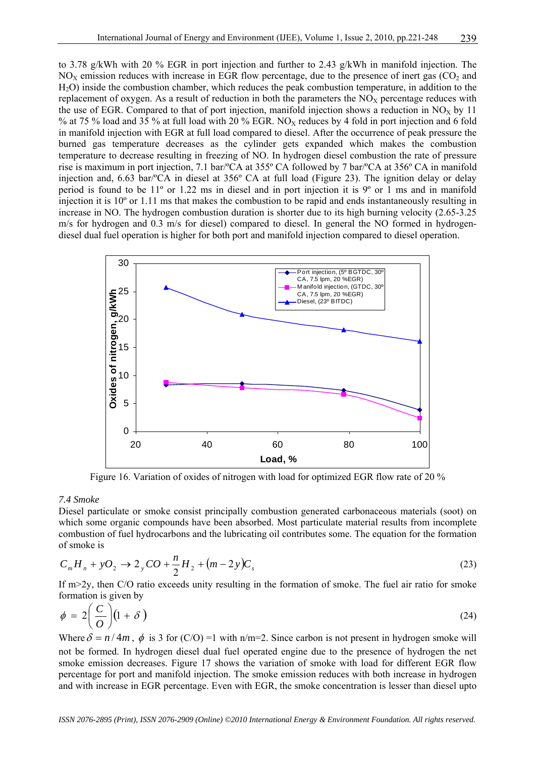to 3.78 g/kWh with 20 % EGR in port injection and further to 2.43 g/kWh in manifold injection. The  $NO<sub>x</sub>$  emission reduces with increase in EGR flow percentage, due to the presence of inert gas (CO<sub>2</sub> and H2O) inside the combustion chamber, which reduces the peak combustion temperature, in addition to the replacement of oxygen. As a result of reduction in both the parameters the  $NO<sub>X</sub>$  percentage reduces with the use of EGR. Compared to that of port injection, manifold injection shows a reduction in  $NO<sub>X</sub>$  by 11 % at 75 % load and 35 % at full load with 20 % EGR. NO<sub>X</sub> reduces by 4 fold in port injection and 6 fold in manifold injection with EGR at full load compared to diesel. After the occurrence of peak pressure the burned gas temperature decreases as the cylinder gets expanded which makes the combustion temperature to decrease resulting in freezing of NO. In hydrogen diesel combustion the rate of pressure rise is maximum in port injection, 7.1 bar/ºCA at 355º CA followed by 7 bar/ºCA at 356º CA in manifold injection and, 6.63 bar/ºCA in diesel at 356º CA at full load (Figure 23). The ignition delay or delay period is found to be 11º or 1.22 ms in diesel and in port injection it is 9º or 1 ms and in manifold injection it is 10º or 1.11 ms that makes the combustion to be rapid and ends instantaneously resulting in increase in NO. The hydrogen combustion duration is shorter due to its high burning velocity (2.65-3.25 m/s for hydrogen and 0.3 m/s for diesel) compared to diesel. In general the NO formed in hydrogendiesel dual fuel operation is higher for both port and manifold injection compared to diesel operation.



Figure 16. Variation of oxides of nitrogen with load for optimized EGR flow rate of 20 %

# *7.4 Smoke*

Diesel particulate or smoke consist principally combustion generated carbonaceous materials (soot) on which some organic compounds have been absorbed. Most particulate material results from incomplete combustion of fuel hydrocarbons and the lubricating oil contributes some. The equation for the formation of smoke is

$$
C_m H_n + yO_2 \to 2_y CO + \frac{n}{2} H_2 + (m - 2y)C_s
$$
\n(23)

If m>2y, then C/O ratio exceeds unity resulting in the formation of smoke. The fuel air ratio for smoke formation is given by

$$
\phi = 2\left(\frac{C}{O}\right)(1+\delta) \tag{24}
$$

Where  $\delta = n/4m$ ,  $\phi$  is 3 for (C/O) =1 with n/m=2. Since carbon is not present in hydrogen smoke will not be formed. In hydrogen diesel dual fuel operated engine due to the presence of hydrogen the net smoke emission decreases. Figure 17 shows the variation of smoke with load for different EGR flow percentage for port and manifold injection. The smoke emission reduces with both increase in hydrogen and with increase in EGR percentage. Even with EGR, the smoke concentration is lesser than diesel upto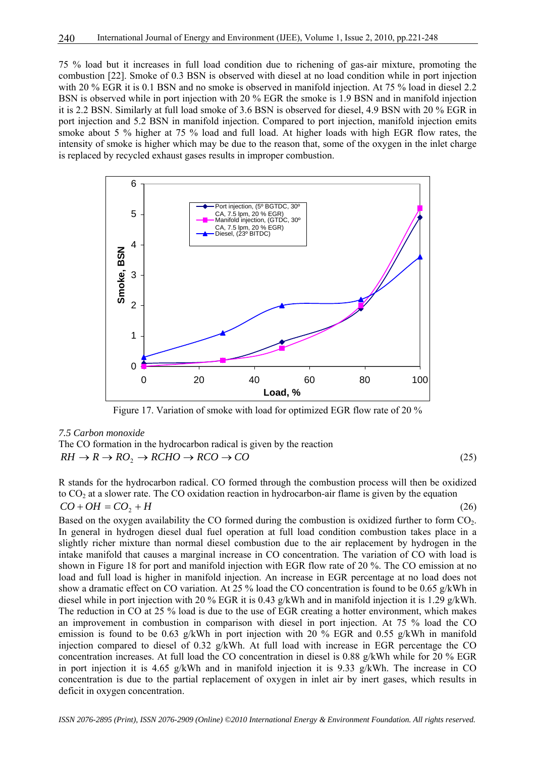75 % load but it increases in full load condition due to richening of gas-air mixture, promoting the combustion [22]. Smoke of 0.3 BSN is observed with diesel at no load condition while in port injection with 20 % EGR it is 0.1 BSN and no smoke is observed in manifold injection. At 75 % load in diesel 2.2 BSN is observed while in port injection with 20 % EGR the smoke is 1.9 BSN and in manifold injection it is 2.2 BSN. Similarly at full load smoke of 3.6 BSN is observed for diesel, 4.9 BSN with 20 % EGR in port injection and 5.2 BSN in manifold injection. Compared to port injection, manifold injection emits smoke about 5 % higher at 75 % load and full load. At higher loads with high EGR flow rates, the intensity of smoke is higher which may be due to the reason that, some of the oxygen in the inlet charge is replaced by recycled exhaust gases results in improper combustion.



Figure 17. Variation of smoke with load for optimized EGR flow rate of 20 %

#### *7.5 Carbon monoxide*

The CO formation in the hydrocarbon radical is given by the reaction  $RH \to R \to RO, \to RCHO \to RCO \to CO$  (25)

R stands for the hydrocarbon radical. CO formed through the combustion process will then be oxidized to  $CO<sub>2</sub>$  at a slower rate. The CO oxidation reaction in hydrocarbon-air flame is given by the equation  $CO + OH = CO_2 + H$  (26)

Based on the oxygen availability the CO formed during the combustion is oxidized further to form CO<sub>2</sub>. In general in hydrogen diesel dual fuel operation at full load condition combustion takes place in a slightly richer mixture than normal diesel combustion due to the air replacement by hydrogen in the intake manifold that causes a marginal increase in CO concentration. The variation of CO with load is shown in Figure 18 for port and manifold injection with EGR flow rate of 20 %. The CO emission at no load and full load is higher in manifold injection. An increase in EGR percentage at no load does not show a dramatic effect on CO variation. At 25 % load the CO concentration is found to be 0.65 g/kWh in diesel while in port injection with 20 % EGR it is 0.43 g/kWh and in manifold injection it is 1.29 g/kWh. The reduction in CO at 25 % load is due to the use of EGR creating a hotter environment, which makes an improvement in combustion in comparison with diesel in port injection. At 75 % load the CO emission is found to be 0.63 g/kWh in port injection with 20 % EGR and 0.55 g/kWh in manifold injection compared to diesel of 0.32 g/kWh. At full load with increase in EGR percentage the CO concentration increases. At full load the CO concentration in diesel is 0.88 g/kWh while for 20 % EGR in port injection it is 4.65 g/kWh and in manifold injection it is 9.33 g/kWh. The increase in CO concentration is due to the partial replacement of oxygen in inlet air by inert gases, which results in deficit in oxygen concentration.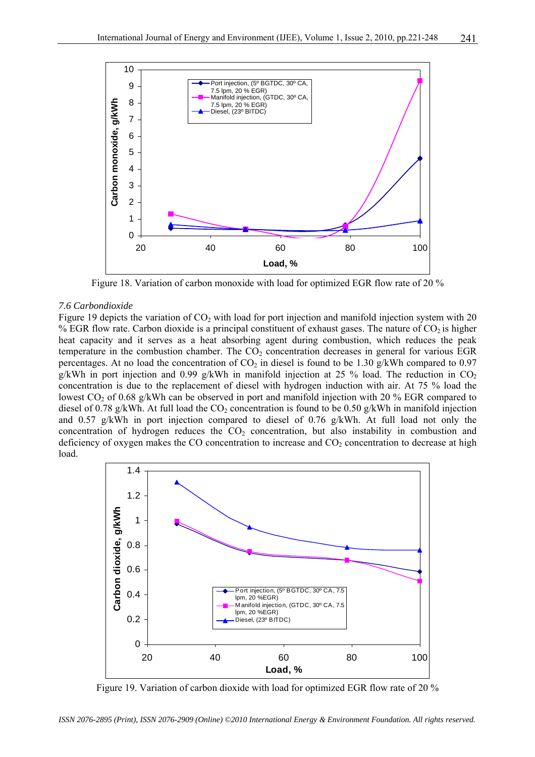

Figure 18. Variation of carbon monoxide with load for optimized EGR flow rate of 20 %

#### *7.6 Carbondioxide*

Figure 19 depicts the variation of  $CO<sub>2</sub>$  with load for port injection and manifold injection system with 20 % EGR flow rate. Carbon dioxide is a principal constituent of exhaust gases. The nature of  $CO<sub>2</sub>$  is higher heat capacity and it serves as a heat absorbing agent during combustion, which reduces the peak temperature in the combustion chamber. The  $CO<sub>2</sub>$  concentration decreases in general for various EGR percentages. At no load the concentration of  $CO<sub>2</sub>$  in diesel is found to be 1.30 g/kWh compared to 0.97 g/kWh in port injection and 0.99 g/kWh in manifold injection at 25 % load. The reduction in  $CO<sub>2</sub>$ concentration is due to the replacement of diesel with hydrogen induction with air. At 75 % load the lowest  $CO_2$  of 0.68 g/kWh can be observed in port and manifold injection with 20 % EGR compared to diesel of 0.78 g/kWh. At full load the CO<sub>2</sub> concentration is found to be 0.50 g/kWh in manifold injection and 0.57 g/kWh in port injection compared to diesel of 0.76 g/kWh. At full load not only the concentration of hydrogen reduces the  $CO<sub>2</sub>$  concentration, but also instability in combustion and deficiency of oxygen makes the CO concentration to increase and  $CO<sub>2</sub>$  concentration to decrease at high load.



Figure 19. Variation of carbon dioxide with load for optimized EGR flow rate of 20 %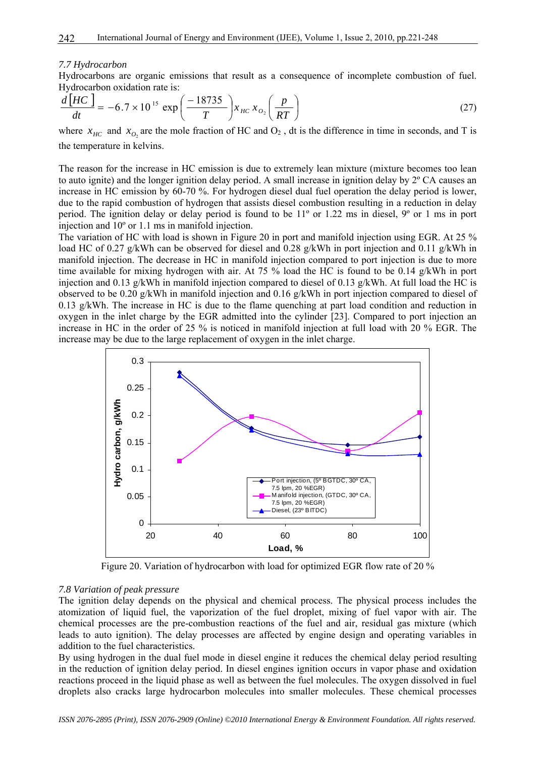#### *7.7 Hydrocarbon*

Hydrocarbons are organic emissions that result as a consequence of incomplete combustion of fuel. Hydrocarbon oxidation rate is:

$$
\frac{d\left[HC\right]}{dt} = -6.7 \times 10^{15} \exp\left(\frac{-18735}{T}\right) x_{HC} x_{O_2}\left(\frac{p}{RT}\right) \tag{27}
$$

where  $x_{HC}$  and  $x_{O_2}$  are the mole fraction of HC and  $O_2$ , dt is the difference in time in seconds, and T is the temperature in kelvins.

The reason for the increase in HC emission is due to extremely lean mixture (mixture becomes too lean to auto ignite) and the longer ignition delay period. A small increase in ignition delay by 2º CA causes an increase in HC emission by 60-70 %. For hydrogen diesel dual fuel operation the delay period is lower, due to the rapid combustion of hydrogen that assists diesel combustion resulting in a reduction in delay period. The ignition delay or delay period is found to be 11º or 1.22 ms in diesel, 9º or 1 ms in port injection and 10º or 1.1 ms in manifold injection.

The variation of HC with load is shown in Figure 20 in port and manifold injection using EGR. At 25 % load HC of 0.27 g/kWh can be observed for diesel and 0.28 g/kWh in port injection and 0.11 g/kWh in manifold injection. The decrease in HC in manifold injection compared to port injection is due to more time available for mixing hydrogen with air. At 75 % load the HC is found to be 0.14 g/kWh in port injection and 0.13  $g/kWh$  in manifold injection compared to diesel of 0.13  $g/kWh$ . At full load the HC is observed to be 0.20 g/kWh in manifold injection and 0.16 g/kWh in port injection compared to diesel of 0.13 g/kWh. The increase in HC is due to the flame quenching at part load condition and reduction in oxygen in the inlet charge by the EGR admitted into the cylinder [23]. Compared to port injection an increase in HC in the order of 25 % is noticed in manifold injection at full load with 20 % EGR. The increase may be due to the large replacement of oxygen in the inlet charge.



Figure 20. Variation of hydrocarbon with load for optimized EGR flow rate of 20 %

#### *7.8 Variation of peak pressure*

The ignition delay depends on the physical and chemical process. The physical process includes the atomization of liquid fuel, the vaporization of the fuel droplet, mixing of fuel vapor with air. The chemical processes are the pre-combustion reactions of the fuel and air, residual gas mixture (which leads to auto ignition). The delay processes are affected by engine design and operating variables in addition to the fuel characteristics.

By using hydrogen in the dual fuel mode in diesel engine it reduces the chemical delay period resulting in the reduction of ignition delay period. In diesel engines ignition occurs in vapor phase and oxidation reactions proceed in the liquid phase as well as between the fuel molecules. The oxygen dissolved in fuel droplets also cracks large hydrocarbon molecules into smaller molecules. These chemical processes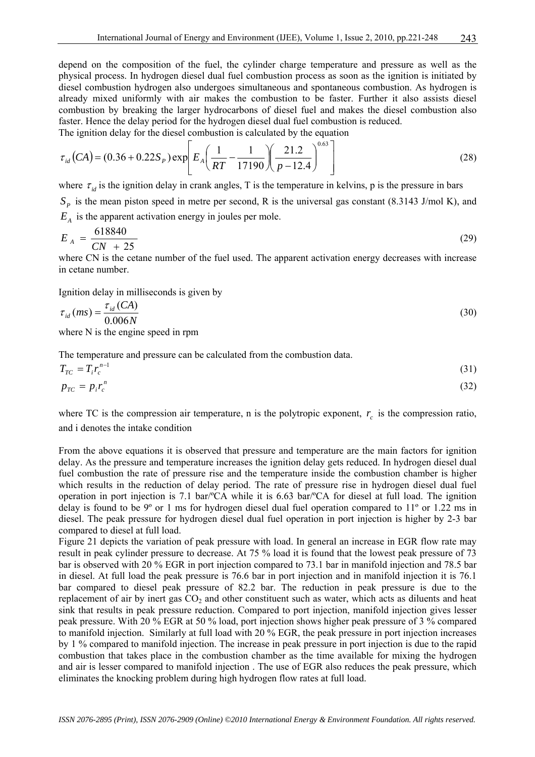depend on the composition of the fuel, the cylinder charge temperature and pressure as well as the physical process. In hydrogen diesel dual fuel combustion process as soon as the ignition is initiated by diesel combustion hydrogen also undergoes simultaneous and spontaneous combustion. As hydrogen is already mixed uniformly with air makes the combustion to be faster. Further it also assists diesel combustion by breaking the larger hydrocarbons of diesel fuel and makes the diesel combustion also faster. Hence the delay period for the hydrogen diesel dual fuel combustion is reduced.

The ignition delay for the diesel combustion is calculated by the equation

$$
\tau_{id}(CA) = (0.36 + 0.22S_P) \exp\left[E_A \left(\frac{1}{RT} - \frac{1}{17190} \right) \left(\frac{21.2}{p - 12.4}\right)^{0.63}\right]
$$
(28)

where  $\tau_{id}$  is the ignition delay in crank angles, T is the temperature in kelvins, p is the pressure in bars  $S_p$  is the mean piston speed in metre per second, R is the universal gas constant (8.3143 J/mol K), and  $E<sub>A</sub>$  is the apparent activation energy in joules per mole.

$$
E_A = \frac{618840}{CN + 25} \tag{29}
$$

where CN is the cetane number of the fuel used. The apparent activation energy decreases with increase in cetane number.

Ignition delay in milliseconds is given by

$$
\tau_{id}(ms) = \frac{\tau_{id}(CA)}{0.006N}
$$
\n(30)

where N is the engine speed in rpm

The temperature and pressure can be calculated from the combustion data.

$$
T_{TC} = T_i r_c^{n-1} \tag{31}
$$

$$
p_{TC} = p_i r_c^n \tag{32}
$$

where TC is the compression air temperature, n is the polytropic exponent,  $r_c$  is the compression ratio, and i denotes the intake condition

From the above equations it is observed that pressure and temperature are the main factors for ignition delay. As the pressure and temperature increases the ignition delay gets reduced. In hydrogen diesel dual fuel combustion the rate of pressure rise and the temperature inside the combustion chamber is higher which results in the reduction of delay period. The rate of pressure rise in hydrogen diesel dual fuel operation in port injection is 7.1 bar/ºCA while it is 6.63 bar/ºCA for diesel at full load. The ignition delay is found to be 9º or 1 ms for hydrogen diesel dual fuel operation compared to 11º or 1.22 ms in diesel. The peak pressure for hydrogen diesel dual fuel operation in port injection is higher by 2-3 bar compared to diesel at full load.

Figure 21 depicts the variation of peak pressure with load. In general an increase in EGR flow rate may result in peak cylinder pressure to decrease. At 75 % load it is found that the lowest peak pressure of 73 bar is observed with 20 % EGR in port injection compared to 73.1 bar in manifold injection and 78.5 bar in diesel. At full load the peak pressure is 76.6 bar in port injection and in manifold injection it is 76.1 bar compared to diesel peak pressure of 82.2 bar. The reduction in peak pressure is due to the replacement of air by inert gas  $CO<sub>2</sub>$  and other constituent such as water, which acts as diluents and heat sink that results in peak pressure reduction. Compared to port injection, manifold injection gives lesser peak pressure. With 20 % EGR at 50 % load, port injection shows higher peak pressure of 3 % compared to manifold injection. Similarly at full load with 20 % EGR, the peak pressure in port injection increases by 1 % compared to manifold injection. The increase in peak pressure in port injection is due to the rapid combustion that takes place in the combustion chamber as the time available for mixing the hydrogen and air is lesser compared to manifold injection . The use of EGR also reduces the peak pressure, which eliminates the knocking problem during high hydrogen flow rates at full load.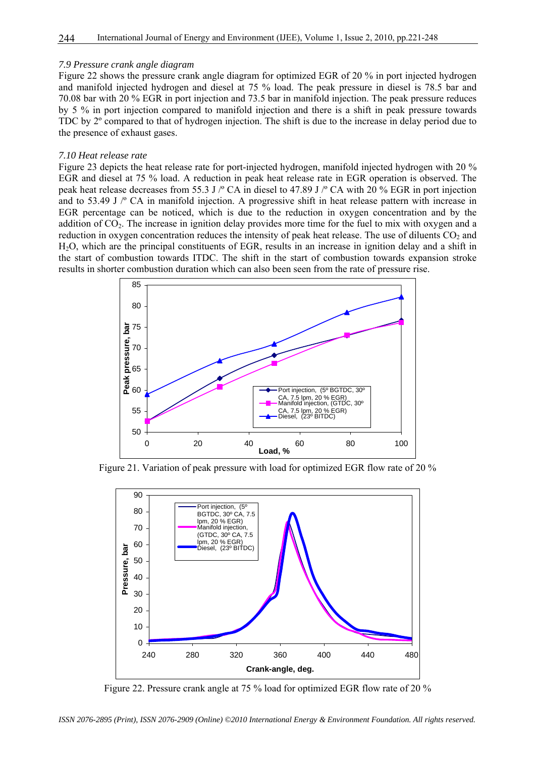#### *7.9 Pressure crank angle diagram*

Figure 22 shows the pressure crank angle diagram for optimized EGR of 20 % in port injected hydrogen and manifold injected hydrogen and diesel at 75 % load. The peak pressure in diesel is 78.5 bar and 70.08 bar with 20 % EGR in port injection and 73.5 bar in manifold injection. The peak pressure reduces by 5 % in port injection compared to manifold injection and there is a shift in peak pressure towards TDC by 2º compared to that of hydrogen injection. The shift is due to the increase in delay period due to the presence of exhaust gases.

#### *7.10 Heat release rate*

Figure 23 depicts the heat release rate for port-injected hydrogen, manifold injected hydrogen with 20 % EGR and diesel at 75 % load. A reduction in peak heat release rate in EGR operation is observed. The peak heat release decreases from 55.3 J /º CA in diesel to 47.89 J /º CA with 20 % EGR in port injection and to 53.49 J /º CA in manifold injection. A progressive shift in heat release pattern with increase in EGR percentage can be noticed, which is due to the reduction in oxygen concentration and by the addition of CO<sub>2</sub>. The increase in ignition delay provides more time for the fuel to mix with oxygen and a reduction in oxygen concentration reduces the intensity of peak heat release. The use of diluents  $CO<sub>2</sub>$  and H2O, which are the principal constituents of EGR, results in an increase in ignition delay and a shift in the start of combustion towards ITDC. The shift in the start of combustion towards expansion stroke results in shorter combustion duration which can also been seen from the rate of pressure rise.



Figure 21. Variation of peak pressure with load for optimized EGR flow rate of 20 %



Figure 22. Pressure crank angle at 75 % load for optimized EGR flow rate of 20 %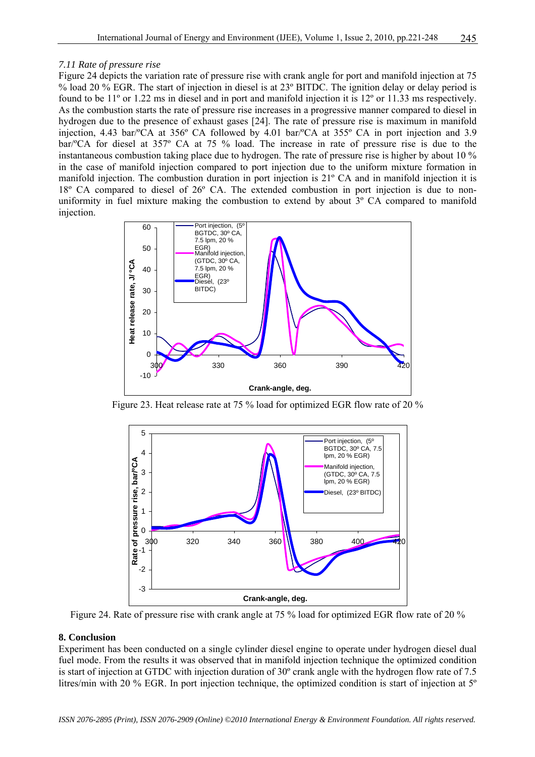# *7.11 Rate of pressure rise*

Figure 24 depicts the variation rate of pressure rise with crank angle for port and manifold injection at 75 % load 20 % EGR. The start of injection in diesel is at 23º BITDC. The ignition delay or delay period is found to be 11º or 1.22 ms in diesel and in port and manifold injection it is 12º or 11.33 ms respectively. As the combustion starts the rate of pressure rise increases in a progressive manner compared to diesel in hydrogen due to the presence of exhaust gases [24]. The rate of pressure rise is maximum in manifold injection, 4.43 bar/ºCA at 356º CA followed by 4.01 bar/ºCA at 355º CA in port injection and 3.9 bar/ºCA for diesel at 357º CA at 75 % load. The increase in rate of pressure rise is due to the instantaneous combustion taking place due to hydrogen. The rate of pressure rise is higher by about 10 % in the case of manifold injection compared to port injection due to the uniform mixture formation in manifold injection. The combustion duration in port injection is 21º CA and in manifold injection it is 18º CA compared to diesel of 26º CA. The extended combustion in port injection is due to nonuniformity in fuel mixture making the combustion to extend by about 3° CA compared to manifold injection.



Figure 23. Heat release rate at 75 % load for optimized EGR flow rate of 20 %



Figure 24. Rate of pressure rise with crank angle at 75 % load for optimized EGR flow rate of 20 %

# **8. Conclusion**

Experiment has been conducted on a single cylinder diesel engine to operate under hydrogen diesel dual fuel mode. From the results it was observed that in manifold injection technique the optimized condition is start of injection at GTDC with injection duration of 30º crank angle with the hydrogen flow rate of 7.5 litres/min with 20 % EGR. In port injection technique, the optimized condition is start of injection at 5º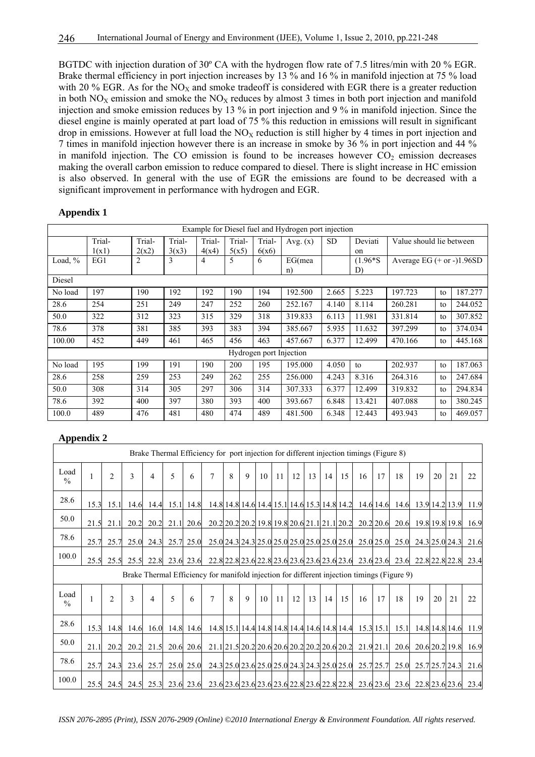BGTDC with injection duration of 30º CA with the hydrogen flow rate of 7.5 litres/min with 20 % EGR. Brake thermal efficiency in port injection increases by 13 % and 16 % in manifold injection at 75 % load with 20 % EGR. As for the  $NO<sub>X</sub>$  and smoke tradeoff is considered with EGR there is a greater reduction in both  $NO<sub>X</sub>$  emission and smoke the  $NO<sub>X</sub>$  reduces by almost 3 times in both port injection and manifold injection and smoke emission reduces by 13 % in port injection and 9 % in manifold injection. Since the diesel engine is mainly operated at part load of 75 % this reduction in emissions will result in significant drop in emissions. However at full load the  $NO<sub>X</sub>$  reduction is still higher by 4 times in port injection and 7 times in manifold injection however there is an increase in smoke by 36 % in port injection and 44 % in manifold injection. The CO emission is found to be increases however  $CO<sub>2</sub>$  emission decreases making the overall carbon emission to reduce compared to diesel. There is slight increase in HC emission is also observed. In general with the use of EGR the emissions are found to be decreased with a significant improvement in performance with hydrogen and EGR.

# **Appendix 1**

|         | Example for Diesel fuel and Hydrogen port injection |        |        |        |        |                         |            |           |             |                             |                          |         |  |
|---------|-----------------------------------------------------|--------|--------|--------|--------|-------------------------|------------|-----------|-------------|-----------------------------|--------------------------|---------|--|
|         | Trial-                                              | Trial- | Trial- | Trial- | Trial- | Trial-                  | Avg. $(x)$ | <b>SD</b> | Deviati     |                             | Value should lie between |         |  |
|         | 1(x1)                                               | 2(x2)  | 3(x3)  | 4(x4)  | 5(x5)  | 6(x6)                   |            |           | $_{\rm on}$ |                             |                          |         |  |
| Load, % | EG1                                                 | 2      | 3      | 4      | 5      | 6                       | EG(mea     |           | $(1.96*S)$  | Average EG $(+ or -)1.96SD$ |                          |         |  |
|         |                                                     |        |        |        |        |                         | n)         |           | D)          |                             |                          |         |  |
| Diesel  |                                                     |        |        |        |        |                         |            |           |             |                             |                          |         |  |
| No load | 197                                                 | 190    | 192    | 192    | 190    | 194                     | 192.500    | 2.665     | 5.223       | 197.723                     | to                       | 187.277 |  |
| 28.6    | 254                                                 | 251    | 249    | 247    | 252    | 260                     | 252.167    | 4.140     | 8.114       | 260.281                     | to                       | 244.052 |  |
| 50.0    | 322                                                 | 312    | 323    | 315    | 329    | 318                     | 319.833    | 6.113     | 11.981      | 331.814                     | to                       | 307.852 |  |
| 78.6    | 378                                                 | 381    | 385    | 393    | 383    | 394                     | 385.667    | 5.935     | 11.632      | 397.299                     | to                       | 374.034 |  |
| 100.00  | 452                                                 | 449    | 461    | 465    | 456    | 463                     | 457.667    | 6.377     | 12.499      | 470.166                     | to                       | 445.168 |  |
|         |                                                     |        |        |        |        | Hydrogen port Injection |            |           |             |                             |                          |         |  |
| No load | 195                                                 | 199    | 191    | 190    | 200    | 195                     | 195.000    | 4.050     | to          | 202.937                     | to                       | 187.063 |  |
| 28.6    | 258                                                 | 259    | 253    | 249    | 262    | 255                     | 256,000    | 4.243     | 8.316       | 264.316                     | to                       | 247.684 |  |
| 50.0    | 308                                                 | 314    | 305    | 297    | 306    | 314                     | 307.333    | 6.377     | 12.499      | 319.832                     | to                       | 294.834 |  |
| 78.6    | 392                                                 | 400    | 397    | 380    | 393    | 400                     | 393.667    | 6.848     | 13.421      | 407.088                     | to                       | 380.245 |  |
| 100.0   | 489                                                 | 476    | 481    | 480    | 474    | 489                     | 481.500    | 6.348     | 12.443      | 493.943                     | to                       | 469.057 |  |

# **Appendix 2**

| Brake Thermal Efficiency for port injection for different injection timings (Figure 8)     |      |                |                                                                                                               |      |             |           |                |   |             |    |    |    |    |    |                                              |                                                        |             |      |                     |    |                |      |
|--------------------------------------------------------------------------------------------|------|----------------|---------------------------------------------------------------------------------------------------------------|------|-------------|-----------|----------------|---|-------------|----|----|----|----|----|----------------------------------------------|--------------------------------------------------------|-------------|------|---------------------|----|----------------|------|
| Load<br>$\frac{0}{0}$                                                                      | 1    | $\overline{2}$ | 3                                                                                                             | 4    | 5           | 6         | $\overline{7}$ | 8 | 9           | 10 | 11 | 12 | 13 | 14 | 15                                           | 16                                                     | 17          | 18   | 19                  | 20 | 21             | 22   |
| 28.6                                                                                       | 15.3 | 15.1           | 14.6                                                                                                          | 14.4 |             | 15.1 14.8 |                |   |             |    |    |    |    |    |                                              | 14.8 14.8 14.6 14.4 15.1 14.6 15.3 14.8 14.2 14.6 14.6 |             | 14.6 |                     |    | 13.9 14.2 13.9 | 11.9 |
| 50.0                                                                                       | 21.5 | 21.1           | 20.2                                                                                                          | 20.2 | 21.1        | 20.6      |                |   |             |    |    |    |    |    | 20.2 20.2 20.2 19.8 19.8 20.6 21.1 21.1 20.2 |                                                        | $20.2$ 20.6 |      | 20.6 19.8 19.8 19.8 |    |                | 16.9 |
| 78.6                                                                                       | 25.7 | 25.7           | 25.0                                                                                                          | 24.3 | 25.7        | 25.0      |                |   |             |    |    |    |    |    | 25.0 24.3 24.3 25.0 25.0 25.0 25.0 25.0 25.0 |                                                        | 25.0 25.0   | 25.0 |                     |    | 24.3 25.0 24.3 | 21.6 |
| 100.0                                                                                      | 25.5 | 25.5           | 25.5                                                                                                          | 22.8 |             | 23.6 23.6 |                |   |             |    |    |    |    |    |                                              | 22.8 22.8 23.6 22.8 23.6 23.6 23.6 23.6 23.6 23.6 23.6 |             |      | 23.6 22.8 22.8 22.8 |    |                | 23.4 |
| Brake Thermal Efficiency for manifold injection for different injection timings (Figure 9) |      |                |                                                                                                               |      |             |           |                |   |             |    |    |    |    |    |                                              |                                                        |             |      |                     |    |                |      |
| Load<br>$\frac{0}{0}$                                                                      | 1    | $\overline{2}$ | 3                                                                                                             | 4    | $\varsigma$ | 6         | $\tau$         | 8 | $\mathbf Q$ | 10 | 11 | 12 | 13 | 14 | 15                                           | 16                                                     | 17          | 18   | 19                  | 20 | 21             | 22   |
| 28.6                                                                                       | 15.3 | 14.8           | 14.6                                                                                                          | 16.0 |             | 14.8 14.6 |                |   |             |    |    |    |    |    |                                              | 14.8 15.1 14.4 14.8 14.8 14.4 14.6 14.8 14.4 15.3 15.1 |             | 15.1 |                     |    | 14.8 14.8 14.6 | 11.9 |
| 50.0                                                                                       | 21.1 | 20.2           | 20.2                                                                                                          | 21.5 | 20.6        | 20.6      |                |   |             |    |    |    |    |    | 21.1 21.5 20.2 20.6 20.6 20.2 20.2 20.6 20.2 |                                                        | 21.9 21.1   | 20.6 |                     |    | 20.6 20.2 19.8 | 16.9 |
| 78.6                                                                                       | 25.7 | 24.3           | 23.6                                                                                                          | 25.7 | 25.0        | 25.0      |                |   |             |    |    |    |    |    | 24.3 25.0 23.6 25.0 25.0 24.3 24.3 25.0 25.0 |                                                        | 25.7 25.7   | 25.0 |                     |    | 25.7 25.7 24.3 | 21.6 |
| 100.0                                                                                      |      |                | 25.5 24.5 24.5 25.3 23.6 23.6 23.6 23.6 23.6 23.6 23.6 22.8 23.6 22.8 23.6 22.8 23.6 23.6 23.6 23.6 23.6 23.6 |      |             |           |                |   |             |    |    |    |    |    |                                              |                                                        |             |      |                     |    |                |      |

*ISSN 2076-2895 (Print), ISSN 2076-2909 (Online) ©2010 International Energy & Environment Foundation. All rights reserved.*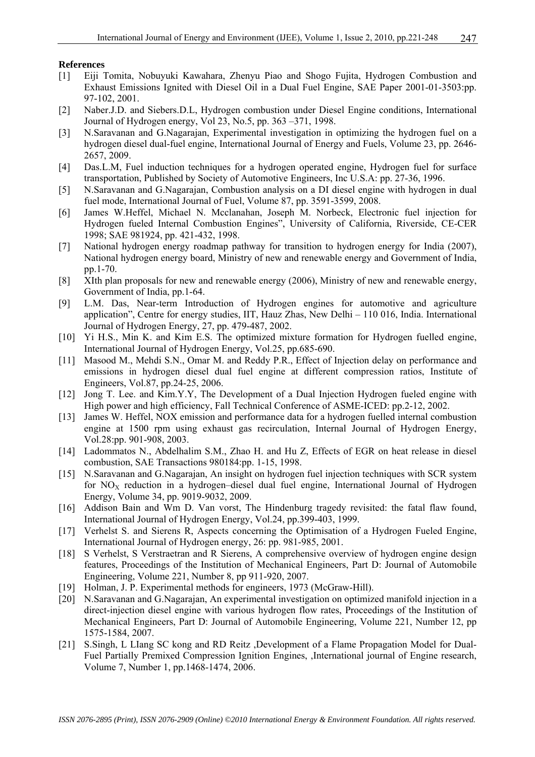### **References**

- [1] Eiji Tomita, Nobuyuki Kawahara, Zhenyu Piao and Shogo Fujita, Hydrogen Combustion and Exhaust Emissions Ignited with Diesel Oil in a Dual Fuel Engine, SAE Paper 2001-01-3503:pp. 97-102, 2001.
- [2] Naber.J.D. and Siebers.D.L, Hydrogen combustion under Diesel Engine conditions, International Journal of Hydrogen energy, Vol 23, No.5, pp. 363 –371, 1998.
- [3] N.Saravanan and G.Nagarajan, Experimental investigation in optimizing the hydrogen fuel on a hydrogen diesel dual-fuel engine, International Journal of Energy and Fuels, Volume 23, pp. 2646- 2657, 2009.
- [4] Das.L.M, Fuel induction techniques for a hydrogen operated engine, Hydrogen fuel for surface transportation, Published by Society of Automotive Engineers, Inc U.S.A: pp. 27-36, 1996.
- [5] N.Saravanan and G.Nagarajan, Combustion analysis on a DI diesel engine with hydrogen in dual fuel mode, International Journal of Fuel, Volume 87, pp. 3591-3599, 2008.
- [6] James W.Heffel, Michael N. Mcclanahan, Joseph M. Norbeck, Electronic fuel injection for Hydrogen fueled Internal Combustion Engines", University of California, Riverside, CE-CER 1998; SAE 981924, pp. 421-432, 1998.
- [7] National hydrogen energy roadmap pathway for transition to hydrogen energy for India (2007), National hydrogen energy board, Ministry of new and renewable energy and Government of India, pp.1-70.
- [8] XIth plan proposals for new and renewable energy (2006), Ministry of new and renewable energy, Government of India, pp.1-64.
- [9] L.M. Das, Near-term Introduction of Hydrogen engines for automotive and agriculture application", Centre for energy studies, IIT, Hauz Zhas, New Delhi – 110 016, India. International Journal of Hydrogen Energy, 27, pp. 479-487, 2002.
- [10] Yi H.S., Min K. and Kim E.S. The optimized mixture formation for Hydrogen fuelled engine, International Journal of Hydrogen Energy, Vol.25, pp.685-690.
- [11] Masood M., Mehdi S.N., Omar M. and Reddy P.R., Effect of Injection delay on performance and emissions in hydrogen diesel dual fuel engine at different compression ratios, Institute of Engineers, Vol.87, pp.24-25, 2006.
- [12] Jong T. Lee. and Kim.Y.Y, The Development of a Dual Injection Hydrogen fueled engine with High power and high efficiency, Fall Technical Conference of ASME-ICED: pp.2-12, 2002.
- [13] James W. Heffel, NOX emission and performance data for a hydrogen fuelled internal combustion engine at 1500 rpm using exhaust gas recirculation. Internal Journal of Hydrogen Energy, Vol.28:pp. 901-908, 2003.
- [14] Ladommatos N., Abdelhalim S.M., Zhao H. and Hu Z, Effects of EGR on heat release in diesel combustion, SAE Transactions 980184:pp. 1-15, 1998.
- [15] N.Saravanan and G.Nagarajan, An insight on hydrogen fuel injection techniques with SCR system for  $NO<sub>X</sub>$  reduction in a hydrogen–diesel dual fuel engine, International Journal of Hydrogen Energy, Volume 34, pp. 9019-9032, 2009.
- [16] Addison Bain and Wm D. Van vorst, The Hindenburg tragedy revisited: the fatal flaw found, International Journal of Hydrogen Energy, Vol.24, pp.399-403, 1999.
- [17] Verhelst S. and Sierens R, Aspects concerning the Optimisation of a Hydrogen Fueled Engine, International Journal of Hydrogen energy, 26: pp. 981-985, 2001.
- [18] S Verhelst, S Verstraetran and R Sierens, A comprehensive overview of hydrogen engine design features, Proceedings of the Institution of Mechanical Engineers, Part D: Journal of Automobile Engineering, Volume 221, Number 8, pp 911-920, 2007.
- [19] Holman, J. P. Experimental methods for engineers, 1973 (McGraw-Hill).
- [20] N.Saravanan and G.Nagarajan, An experimental investigation on optimized manifold injection in a direct-injection diesel engine with various hydrogen flow rates, Proceedings of the Institution of Mechanical Engineers, Part D: Journal of Automobile Engineering, Volume 221, Number 12, pp 1575-1584, 2007.
- [21] S.Singh, L LIang SC kong and RD Reitz ,Development of a Flame Propagation Model for Dual-Fuel Partially Premixed Compression Ignition Engines, ,International journal of Engine research, Volume 7, Number 1, pp.1468-1474, 2006.